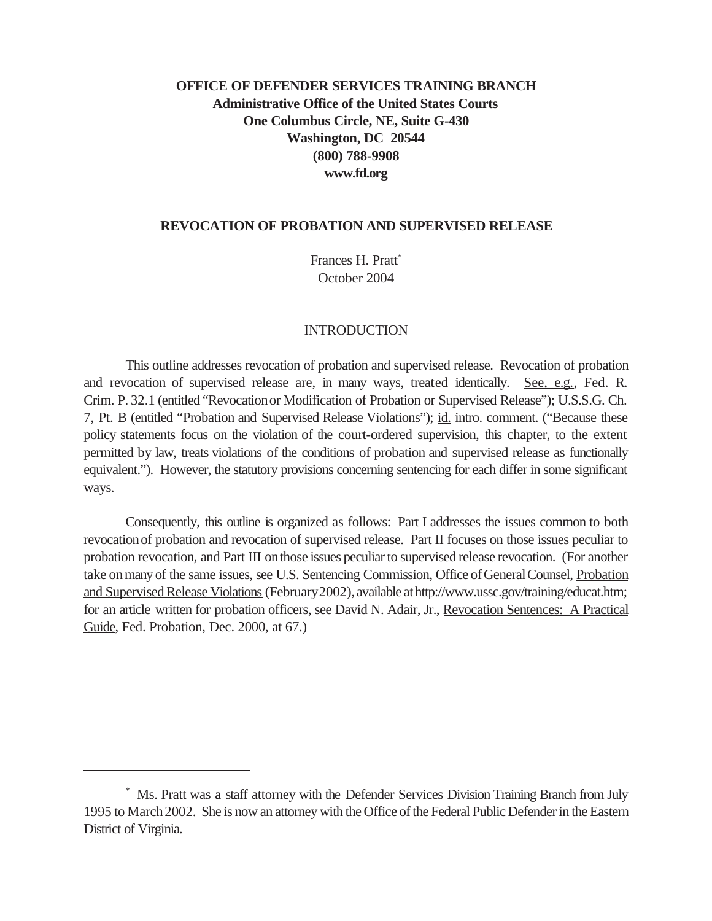# **OFFICE OF DEFENDER SERVICES TRAINING BRANCH Administrative Office of the United States Courts One Columbus Circle, NE, Suite G-430 Washington, DC 20544 (800) 788-9908 www.fd.org**

#### **REVOCATION OF PROBATION AND SUPERVISED RELEASE**

Frances H. Pratt<sup>\*</sup> October 2004

#### INTRODUCTION

This outline addresses revocation of probation and supervised release. Revocation of probation and revocation of supervised release are, in many ways, treated identically. See, e.g., Fed. R. Crim. P. 32.1 (entitled "Revocationor Modification of Probation or Supervised Release"); U.S.S.G. Ch. 7, Pt. B (entitled "Probation and Supervised Release Violations"); id. intro. comment. ("Because these policy statements focus on the violation of the court-ordered supervision, this chapter, to the extent permitted by law, treats violations of the conditions of probation and supervised release as functionally equivalent."). However, the statutory provisions concerning sentencing for each differ in some significant ways.

Consequently, this outline is organized as follows: Part I addresses the issues common to both revocationof probation and revocation of supervised release. Part II focuses on those issues peculiar to probation revocation, and Part III onthose issues peculiar to supervised release revocation. (For another take on many of the same issues, see U.S. Sentencing Commission, Office of General Counsel, Probation and Supervised Release Violations (February 2002), available at http://www.ussc.gov/training/educat.htm; for an article written for probation officers, see David N. Adair, Jr., Revocation Sentences: A Practical Guide, Fed. Probation, Dec. 2000, at 67.)

<sup>\*</sup> Ms. Pratt was a staff attorney with the Defender Services Division Training Branch from July 1995 to March 2002. She is now an attorney with the Office of the Federal Public Defender in the Eastern District of Virginia.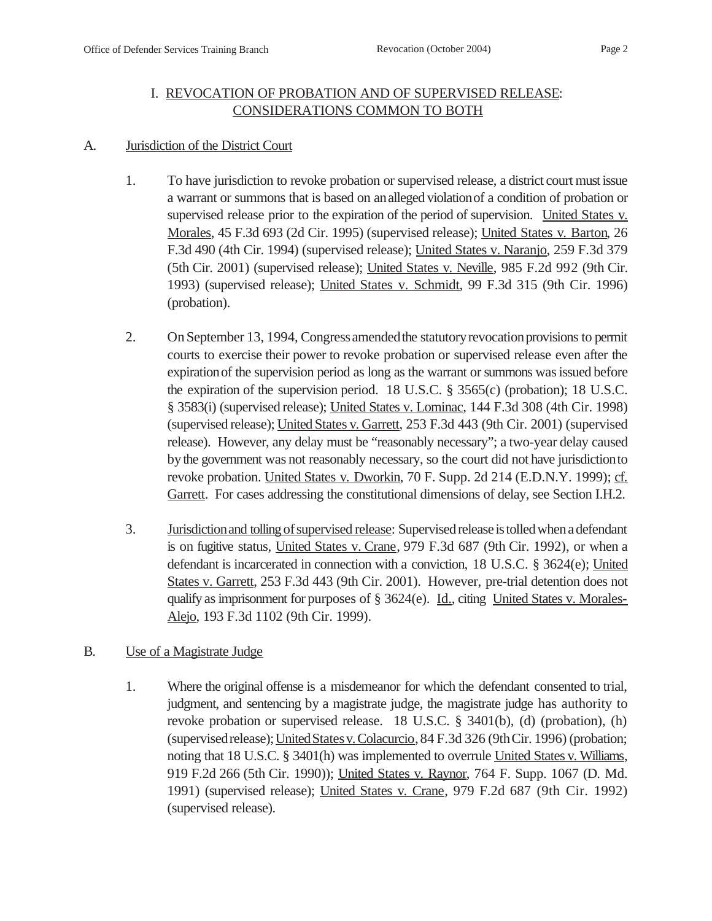## I. REVOCATION OF PROBATION AND OF SUPERVISED RELEASE: CONSIDERATIONS COMMON TO BOTH

#### A. Jurisdiction of the District Court

- 1. To have jurisdiction to revoke probation or supervised release, a district court must issue a warrant or summons that is based on analleged violationof a condition of probation or supervised release prior to the expiration of the period of supervision. United States v. Morales, 45 F.3d 693 (2d Cir. 1995) (supervised release); United States v. Barton, 26 F.3d 490 (4th Cir. 1994) (supervised release); United States v. Naranjo, 259 F.3d 379 (5th Cir. 2001) (supervised release); United States v. Neville, 985 F.2d 992 (9th Cir. 1993) (supervised release); United States v. Schmidt, 99 F.3d 315 (9th Cir. 1996) (probation).
- 2. On September 13, 1994, Congress amended the statutory revocation provisions to permit courts to exercise their power to revoke probation or supervised release even after the expirationof the supervision period as long as the warrant or summons was issued before the expiration of the supervision period. 18 U.S.C. § 3565(c) (probation); 18 U.S.C. § 3583(i) (supervised release); United States v. Lominac, 144 F.3d 308 (4th Cir. 1998) (supervised release); United States v. Garrett, 253 F.3d 443 (9th Cir. 2001) (supervised release). However, any delay must be "reasonably necessary"; a two-year delay caused bythe government was not reasonably necessary, so the court did not have jurisdictionto revoke probation. United States v. Dworkin, 70 F. Supp. 2d 214 (E.D.N.Y. 1999); cf. Garrett. For cases addressing the constitutional dimensions of delay, see Section I.H.2.
- 3. Jurisdiction and tolling of supervised release: Supervised release is tolled when a defendant is on fugitive status, United States v. Crane, 979 F.3d 687 (9th Cir. 1992), or when a defendant is incarcerated in connection with a conviction, 18 U.S.C. § 3624(e); United States v. Garrett, 253 F.3d 443 (9th Cir. 2001). However, pre-trial detention does not qualify as imprisonment for purposes of § 3624(e). Id., citing United States v. Morales-Alejo, 193 F.3d 1102 (9th Cir. 1999).

## B. Use of a Magistrate Judge

1. Where the original offense is a misdemeanor for which the defendant consented to trial, judgment, and sentencing by a magistrate judge, the magistrate judge has authority to revoke probation or supervised release. 18 U.S.C. § 3401(b), (d) (probation), (h) (supervisedrelease);UnitedStatesv. Colacurcio,84 F.3d 326 (9thCir. 1996) (probation; noting that 18 U.S.C. § 3401(h) was implemented to overrule United States v. Williams, 919 F.2d 266 (5th Cir. 1990)); United States v. Raynor, 764 F. Supp. 1067 (D. Md. 1991) (supervised release); United States v. Crane, 979 F.2d 687 (9th Cir. 1992) (supervised release).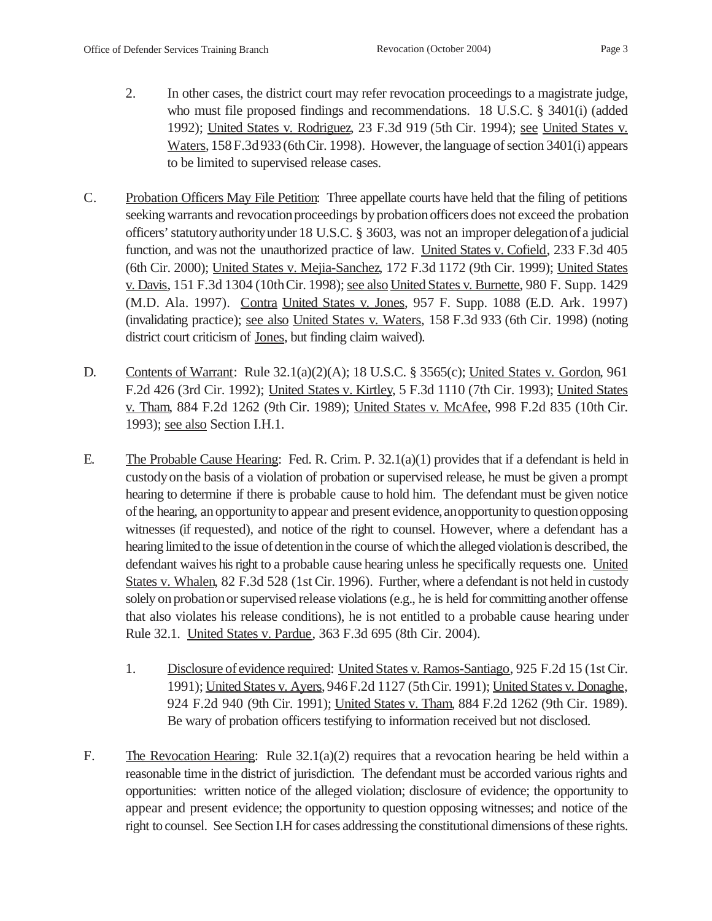- 
- 2. In other cases, the district court may refer revocation proceedings to a magistrate judge, who must file proposed findings and recommendations. 18 U.S.C. § 3401(i) (added 1992); United States v. Rodriguez, 23 F.3d 919 (5th Cir. 1994); see United States v. Waters, 158 F.3d 933 (6thCir. 1998). However, the language of section 3401(i) appears to be limited to supervised release cases.
- C. Probation Officers May File Petition: Three appellate courts have held that the filing of petitions seeking warrants and revocation proceedings by probation officers does not exceed the probation officers' statutoryauthorityunder 18 U.S.C. § 3603, was not an improper delegationofa judicial function, and was not the unauthorized practice of law. United States v. Cofield, 233 F.3d 405 (6th Cir. 2000); United States v. Mejia-Sanchez, 172 F.3d 1172 (9th Cir. 1999); United States v. Davis, 151 F.3d 1304 (10thCir. 1998); see also United States v. Burnette, 980 F. Supp. 1429 (M.D. Ala. 1997). Contra United States v. Jones, 957 F. Supp. 1088 (E.D. Ark. 1997) (invalidating practice); see also United States v. Waters, 158 F.3d 933 (6th Cir. 1998) (noting district court criticism of Jones, but finding claim waived).
- D. Contents of Warrant: Rule 32.1(a)(2)(A); 18 U.S.C. § 3565(c); United States v. Gordon, 961 F.2d 426 (3rd Cir. 1992); United States v. Kirtley, 5 F.3d 1110 (7th Cir. 1993); United States v. Tham, 884 F.2d 1262 (9th Cir. 1989); United States v. McAfee, 998 F.2d 835 (10th Cir. 1993); see also Section I.H.1.
- E. The Probable Cause Hearing: Fed. R. Crim. P. 32.1(a)(1) provides that if a defendant is held in custodyon the basis of a violation of probation or supervised release, he must be given a prompt hearing to determine if there is probable cause to hold him. The defendant must be given notice ofthe hearing, anopportunityto appear and present evidence,anopportunityto questionopposing witnesses (if requested), and notice of the right to counsel. However, where a defendant has a hearing limited to the issue of detention in the course of which the alleged violation is described, the defendant waives his right to a probable cause hearing unless he specifically requests one. United States v. Whalen, 82 F.3d 528 (1st Cir. 1996). Further, where a defendant is not held in custody solely on probation or supervised release violations (e.g., he is held for committing another offense that also violates his release conditions), he is not entitled to a probable cause hearing under Rule 32.1. United States v. Pardue, 363 F.3d 695 (8th Cir. 2004).
	- 1. Disclosure ofevidence required: United States v. Ramos-Santiago, 925 F.2d 15 (1st Cir. 1991); United States v. Ayers, 946 F.2d 1127 (5thCir. 1991); United States v. Donaghe, 924 F.2d 940 (9th Cir. 1991); United States v. Tham, 884 F.2d 1262 (9th Cir. 1989). Be wary of probation officers testifying to information received but not disclosed.
- F. The Revocation Hearing: Rule 32.1(a)(2) requires that a revocation hearing be held within a reasonable time inthe district of jurisdiction. The defendant must be accorded various rights and opportunities: written notice of the alleged violation; disclosure of evidence; the opportunity to appear and present evidence; the opportunity to question opposing witnesses; and notice of the right to counsel. See Section I.H for cases addressing the constitutional dimensions of these rights.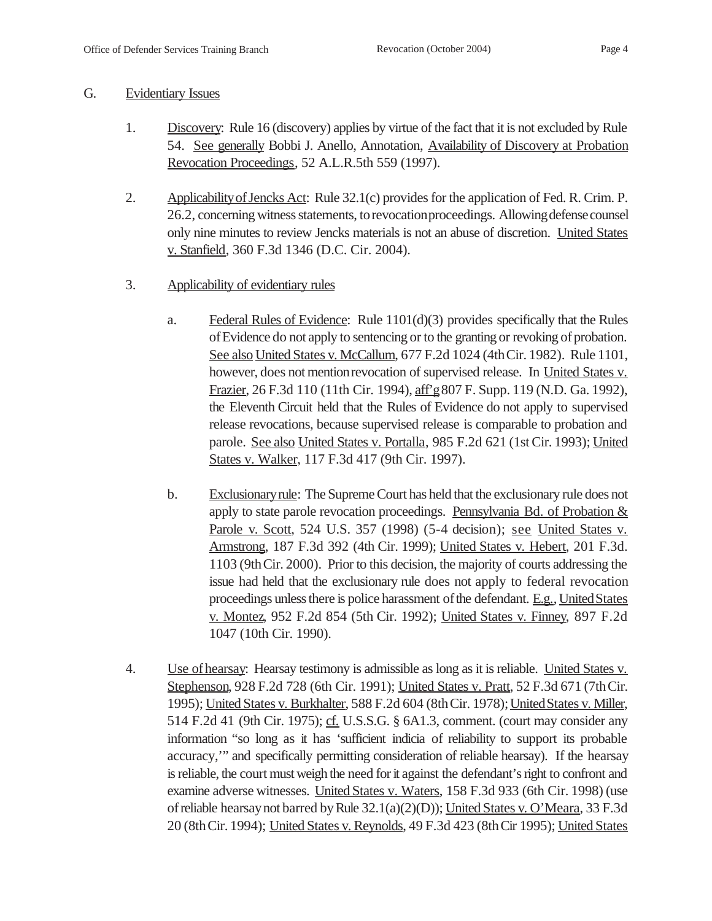#### G. Evidentiary Issues

- 1. Discovery: Rule 16 (discovery) applies by virtue of the fact that it is not excluded by Rule 54. See generally Bobbi J. Anello, Annotation, Availability of Discovery at Probation Revocation Proceedings, 52 A.L.R.5th 559 (1997).
- 2. Applicability of Jencks Act: Rule 32.1(c) provides for the application of Fed. R. Crim. P. 26.2, concerning witness statements, torevocationproceedings. Allowing defense counsel only nine minutes to review Jencks materials is not an abuse of discretion. United States v. Stanfield, 360 F.3d 1346 (D.C. Cir. 2004).
- 3. Applicability of evidentiary rules
	- a. Federal Rules of Evidence: Rule 1101(d)(3) provides specifically that the Rules of Evidence do not apply to sentencing or to the granting or revoking of probation. See also United States v. McCallum, 677 F.2d 1024 (4thCir. 1982). Rule 1101, however, does not mention revocation of supervised release. In United States v. Frazier, 26 F.3d 110 (11th Cir. 1994), aff'g807 F. Supp. 119 (N.D. Ga. 1992), the Eleventh Circuit held that the Rules of Evidence do not apply to supervised release revocations, because supervised release is comparable to probation and parole. See also United States v. Portalla, 985 F.2d 621 (1st Cir. 1993); United States v. Walker, 117 F.3d 417 (9th Cir. 1997).
	- b. Exclusionaryrule: The Supreme Court has held that the exclusionary rule does not apply to state parole revocation proceedings. Pennsylvania Bd. of Probation & Parole v. Scott, 524 U.S. 357 (1998) (5-4 decision); see United States v. Armstrong, 187 F.3d 392 (4th Cir. 1999); United States v. Hebert, 201 F.3d. 1103 (9thCir. 2000). Prior to this decision, the majority of courts addressing the issue had held that the exclusionary rule does not apply to federal revocation proceedings unless there is police harassment of the defendant. E.g., United States v. Montez, 952 F.2d 854 (5th Cir. 1992); United States v. Finney, 897 F.2d 1047 (10th Cir. 1990).
- 4. Use of hearsay: Hearsay testimony is admissible as long as it is reliable. United States v. Stephenson, 928 F.2d 728 (6th Cir. 1991); United States v. Pratt, 52 F.3d 671 (7thCir. 1995); United States v. Burkhalter, 588 F.2d 604 (8th Cir. 1978); United States v. Miller, 514 F.2d 41 (9th Cir. 1975); cf. U.S.S.G. § 6A1.3, comment. (court may consider any information "so long as it has 'sufficient indicia of reliability to support its probable accuracy,'" and specifically permitting consideration of reliable hearsay). If the hearsay is reliable, the court must weigh the need for it against the defendant's right to confront and examine adverse witnesses. United States v. Waters, 158 F.3d 933 (6th Cir. 1998) (use ofreliable hearsaynot barred by Rule 32.1(a)(2)(D)); United States v. O'Meara, 33 F.3d 20 (8thCir. 1994); United States v. Reynolds, 49 F.3d 423 (8thCir 1995); United States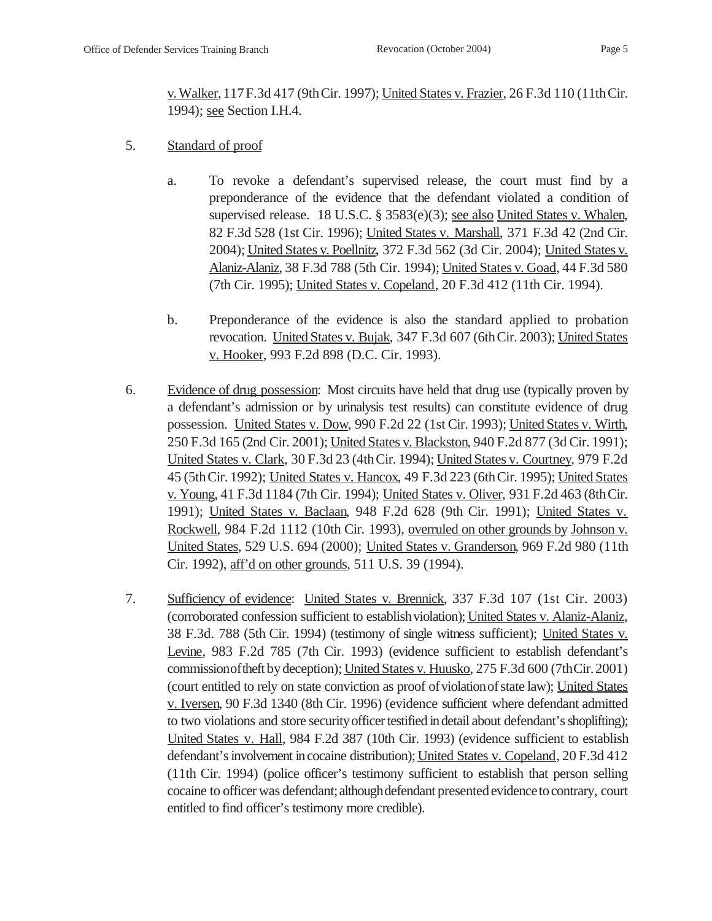v. Walker,117F.3d 417 (9thCir. 1997); United States v. Frazier, 26 F.3d 110 (11thCir. 1994); see Section I.H.4.

- 5. Standard of proof
	- a. To revoke a defendant's supervised release, the court must find by a preponderance of the evidence that the defendant violated a condition of supervised release. 18 U.S.C. § 3583(e)(3); <u>see also United States v. Whalen</u>, 82 F.3d 528 (1st Cir. 1996); United States v. Marshall, 371 F.3d 42 (2nd Cir. 2004); United States v. Poellnitz, 372 F.3d 562 (3d Cir. 2004); United States v. Alaniz-Alaniz, 38 F.3d 788 (5th Cir. 1994); United States v. Goad, 44 F.3d 580 (7th Cir. 1995); United States v. Copeland, 20 F.3d 412 (11th Cir. 1994).
	- b. Preponderance of the evidence is also the standard applied to probation revocation. United States v. Bujak, 347 F.3d 607 (6thCir. 2003); United States v. Hooker, 993 F.2d 898 (D.C. Cir. 1993).
- 6. Evidence of drug possession: Most circuits have held that drug use (typically proven by a defendant's admission or by urinalysis test results) can constitute evidence of drug possession. United States v. Dow, 990 F.2d 22 (1st Cir. 1993); United States v. Wirth, 250 F.3d 165 (2nd Cir. 2001); United States v. Blackston, 940 F.2d 877 (3d Cir. 1991); United States v. Clark, 30 F.3d 23 (4thCir. 1994); United States v. Courtney, 979 F.2d 45 (5thCir. 1992); United States v. Hancox, 49 F.3d 223 (6thCir. 1995); United States v. Young, 41 F.3d 1184 (7th Cir. 1994); United States v. Oliver, 931 F.2d 463 (8thCir. 1991); United States v. Baclaan, 948 F.2d 628 (9th Cir. 1991); United States v. Rockwell, 984 F.2d 1112 (10th Cir. 1993), overruled on other grounds by Johnson v. United States, 529 U.S. 694 (2000); United States v. Granderson, 969 F.2d 980 (11th Cir. 1992), aff'd on other grounds, 511 U.S. 39 (1994).
- 7. Sufficiency of evidence: United States v. Brennick, 337 F.3d 107 (1st Cir. 2003) (corroborated confession sufficient to establishviolation); United States v. Alaniz-Alaniz, 38 F.3d. 788 (5th Cir. 1994) (testimony of single witness sufficient); United States v. Levine, 983 F.2d 785 (7th Cir. 1993) (evidence sufficient to establish defendant's commissionoftheft by deception); United States v. Huusko, 275 F.3d 600 (7thCir.2001) (court entitled to rely on state conviction as proof of violation of state law); United States v. Iversen, 90 F.3d 1340 (8th Cir. 1996) (evidence sufficient where defendant admitted to two violations and store securityofficer testified indetail about defendant's shoplifting); United States v. Hall, 984 F.2d 387 (10th Cir. 1993) (evidence sufficient to establish defendant's involvement incocaine distribution); United States v. Copeland, 20 F.3d 412 (11th Cir. 1994) (police officer's testimony sufficient to establish that person selling cocaine to officer was defendant; although defendant presented evidence to contrary, court entitled to find officer's testimony more credible).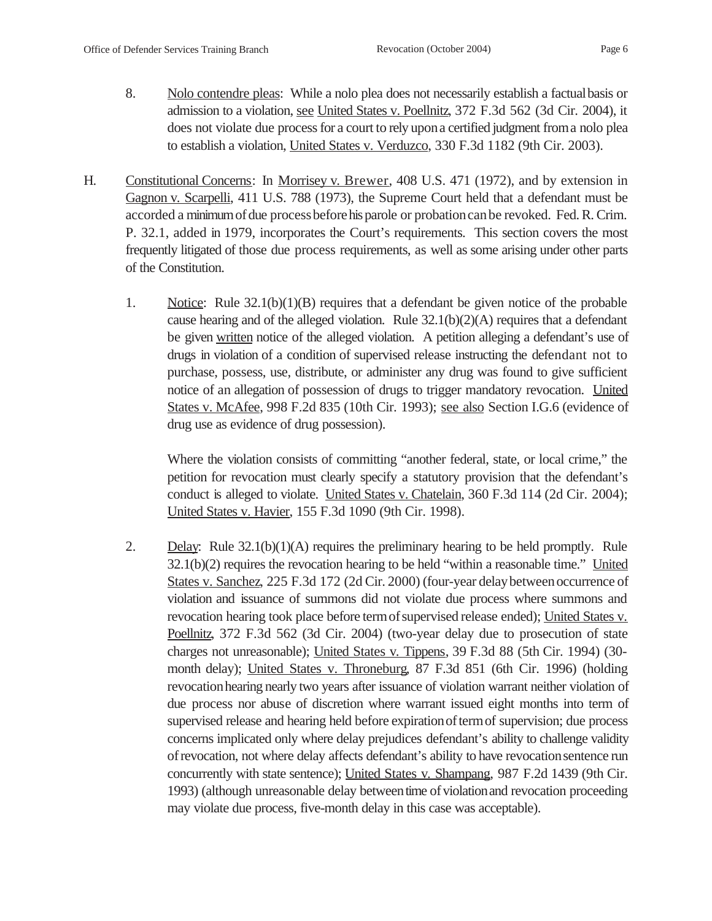- 
- 8. Nolo contendre pleas: While a nolo plea does not necessarily establish a factual basis or admission to a violation, see United States v. Poellnitz, 372 F.3d 562 (3d Cir. 2004), it does not violate due processfor a court to rely upona certified judgment froma nolo plea to establish a violation, United States v. Verduzco, 330 F.3d 1182 (9th Cir. 2003).
- H. Constitutional Concerns: In Morrisey v. Brewer, 408 U.S. 471 (1972), and by extension in Gagnon v. Scarpelli, 411 U.S. 788 (1973), the Supreme Court held that a defendant must be accorded a minimumofdue processbeforehisparole or probationcanbe revoked. Fed. R. Crim. P. 32.1, added in 1979, incorporates the Court's requirements. This section covers the most frequently litigated of those due process requirements, as well as some arising under other parts of the Constitution.
	- 1. Notice: Rule 32.1(b)(1)(B) requires that a defendant be given notice of the probable cause hearing and of the alleged violation. Rule  $32.1(b)(2)(A)$  requires that a defendant be given written notice of the alleged violation. A petition alleging a defendant's use of drugs in violation of a condition of supervised release instructing the defendant not to purchase, possess, use, distribute, or administer any drug was found to give sufficient notice of an allegation of possession of drugs to trigger mandatory revocation. United States v. McAfee, 998 F.2d 835 (10th Cir. 1993); see also Section I.G.6 (evidence of drug use as evidence of drug possession).

Where the violation consists of committing "another federal, state, or local crime," the petition for revocation must clearly specify a statutory provision that the defendant's conduct is alleged to violate. United States v. Chatelain, 360 F.3d 114 (2d Cir. 2004); United States v. Havier, 155 F.3d 1090 (9th Cir. 1998).

2. Delay: Rule  $32.1(b)(1)(A)$  requires the preliminary hearing to be held promptly. Rule  $32.1(b)(2)$  requires the revocation hearing to be held "within a reasonable time." United States v. Sanchez, 225 F.3d 172 (2d Cir. 2000) (four-year delay between occurrence of violation and issuance of summons did not violate due process where summons and revocation hearing took place before term of supervised release ended); United States v. Poellnitz, 372 F.3d 562 (3d Cir. 2004) (two-year delay due to prosecution of state charges not unreasonable); United States v. Tippens, 39 F.3d 88 (5th Cir. 1994) (30 month delay); United States v. Throneburg, 87 F.3d 851 (6th Cir. 1996) (holding revocation hearing nearly two years after issuance of violation warrant neither violation of due process nor abuse of discretion where warrant issued eight months into term of supervised release and hearing held before expiration of term of supervision; due process concerns implicated only where delay prejudices defendant's ability to challenge validity ofrevocation, not where delay affects defendant's ability to have revocationsentence run concurrently with state sentence); United States v. Shampang, 987 F.2d 1439 (9th Cir. 1993) (although unreasonable delay between time of violation and revocation proceeding may violate due process, five-month delay in this case was acceptable).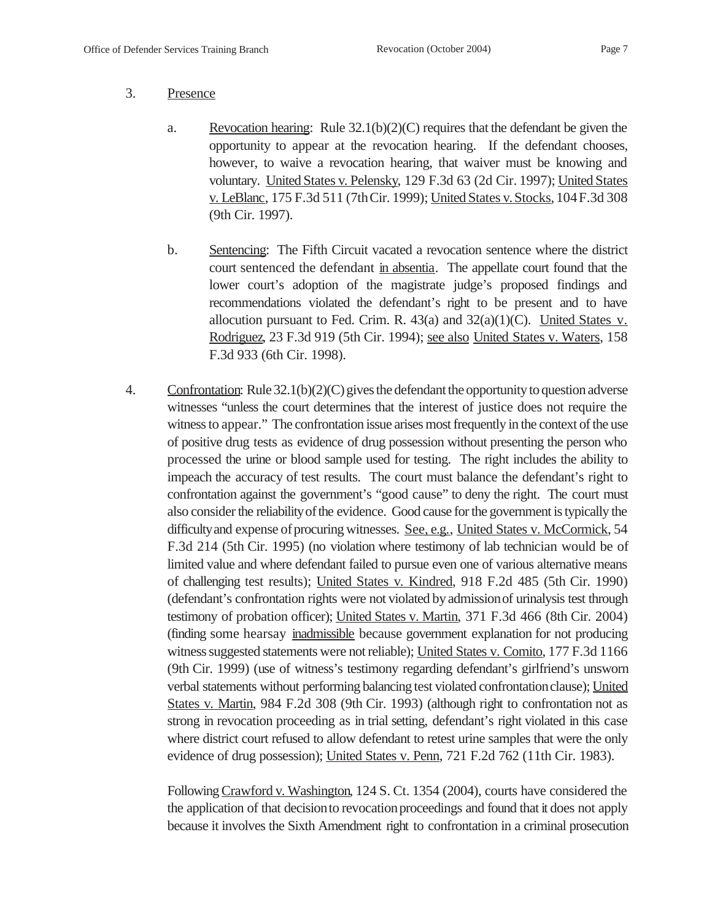#### 3. Presence

- a. Revocation hearing: Rule  $32.1(b)(2)(C)$  requires that the defendant be given the opportunity to appear at the revocation hearing. If the defendant chooses, however, to waive a revocation hearing, that waiver must be knowing and voluntary. United States v. Pelensky, 129 F.3d 63 (2d Cir. 1997); United States v. LeBlanc, 175 F.3d 511 (7thCir. 1999); United States v. Stocks,104F.3d 308 (9th Cir. 1997).
- b. Sentencing: The Fifth Circuit vacated a revocation sentence where the district court sentenced the defendant in absentia. The appellate court found that the lower court's adoption of the magistrate judge's proposed findings and recommendations violated the defendant's right to be present and to have allocution pursuant to Fed. Crim. R.  $43(a)$  and  $32(a)(1)(C)$ . United States v. Rodriguez, 23 F.3d 919 (5th Cir. 1994); see also United States v. Waters, 158 F.3d 933 (6th Cir. 1998).
- 4. Confrontation: Rule 32.1(b)(2)(C) gives the defendant the opportunity to question adverse witnesses "unless the court determines that the interest of justice does not require the witness to appear." The confrontation issue arises most frequently in the context of the use of positive drug tests as evidence of drug possession without presenting the person who processed the urine or blood sample used for testing. The right includes the ability to impeach the accuracy of test results. The court must balance the defendant's right to confrontation against the government's "good cause" to deny the right. The court must also consider the reliability of the evidence. Good cause for the government is typically the difficulty and expense of procuring witnesses. See, e.g., United States v. McCormick, 54 F.3d 214 (5th Cir. 1995) (no violation where testimony of lab technician would be of limited value and where defendant failed to pursue even one of various alternative means of challenging test results); United States v. Kindred, 918 F.2d 485 (5th Cir. 1990) (defendant's confrontation rights were not violated by admissionof urinalysis test through testimony of probation officer); United States v. Martin, 371 F.3d 466 (8th Cir. 2004) (finding some hearsay inadmissible because government explanation for not producing witness suggested statements were not reliable); United States v. Comito, 177 F.3d 1166 (9th Cir. 1999) (use of witness's testimony regarding defendant's girlfriend's unsworn verbal statements without performing balancing test violated confrontationclause); United States v. Martin, 984 F.2d 308 (9th Cir. 1993) (although right to confrontation not as strong in revocation proceeding as in trial setting, defendant's right violated in this case where district court refused to allow defendant to retest urine samples that were the only evidence of drug possession); United States v. Penn, 721 F.2d 762 (11th Cir. 1983).

Following Crawford v. Washington, 124 S. Ct. 1354 (2004), courts have considered the the application of that decision to revocation proceedings and found that it does not apply because it involves the Sixth Amendment right to confrontation in a criminal prosecution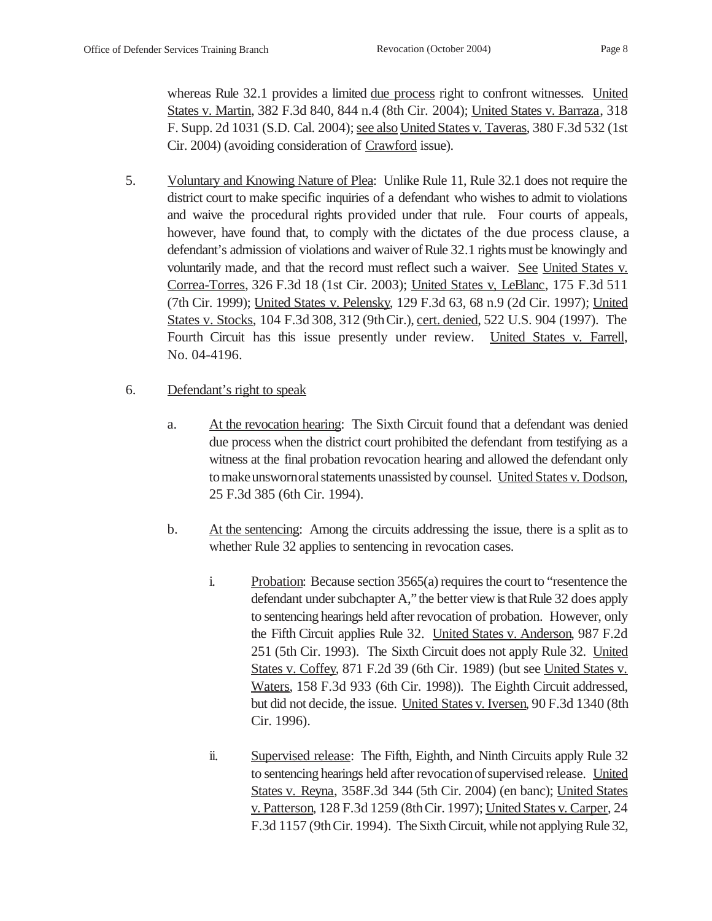whereas Rule 32.1 provides a limited due process right to confront witnesses. United States v. Martin, 382 F.3d 840, 844 n.4 (8th Cir. 2004); United States v. Barraza, 318 F. Supp. 2d 1031 (S.D. Cal. 2004); see also United States v. Taveras, 380 F.3d 532 (1st Cir. 2004) (avoiding consideration of Crawford issue).

- 5. Voluntary and Knowing Nature of Plea: Unlike Rule 11, Rule 32.1 does not require the district court to make specific inquiries of a defendant who wishes to admit to violations and waive the procedural rights provided under that rule. Four courts of appeals, however, have found that, to comply with the dictates of the due process clause, a defendant's admission of violations and waiver of Rule 32.1 rights must be knowingly and voluntarily made, and that the record must reflect such a waiver. See United States v. Correa-Torres, 326 F.3d 18 (1st Cir. 2003); United States v, LeBlanc, 175 F.3d 511 (7th Cir. 1999); United States v. Pelensky, 129 F.3d 63, 68 n.9 (2d Cir. 1997); United States v. Stocks, 104 F.3d 308, 312 (9thCir.), cert. denied, 522 U.S. 904 (1997). The Fourth Circuit has this issue presently under review. United States v. Farrell, No. 04-4196.
- 6. Defendant's right to speak
	- a. At the revocation hearing: The Sixth Circuit found that a defendant was denied due process when the district court prohibited the defendant from testifying as a witness at the final probation revocation hearing and allowed the defendant only to make unswornoral statements unassisted by counsel. United States v. Dodson, 25 F.3d 385 (6th Cir. 1994).
	- b. At the sentencing: Among the circuits addressing the issue, there is a split as to whether Rule 32 applies to sentencing in revocation cases.
		- i. Probation: Because section 3565(a) requires the court to "resentence the defendant under subchapter A," the better view is that Rule 32 does apply to sentencing hearings held after revocation of probation. However, only the Fifth Circuit applies Rule 32. United States v. Anderson, 987 F.2d 251 (5th Cir. 1993). The Sixth Circuit does not apply Rule 32. United States v. Coffey, 871 F.2d 39 (6th Cir. 1989) (but see United States v. Waters, 158 F.3d 933 (6th Cir. 1998)). The Eighth Circuit addressed, but did not decide, the issue. United States v. Iversen, 90 F.3d 1340 (8th Cir. 1996).
		- ii. Supervised release: The Fifth, Eighth, and Ninth Circuits apply Rule 32 to sentencing hearings held after revocation of supervised release. United States v. Reyna, 358F.3d 344 (5th Cir. 2004) (en banc); United States v. Patterson, 128 F.3d 1259 (8thCir. 1997); United States v. Carper, 24 F.3d 1157 (9thCir. 1994). The Sixth Circuit, while not applying Rule 32,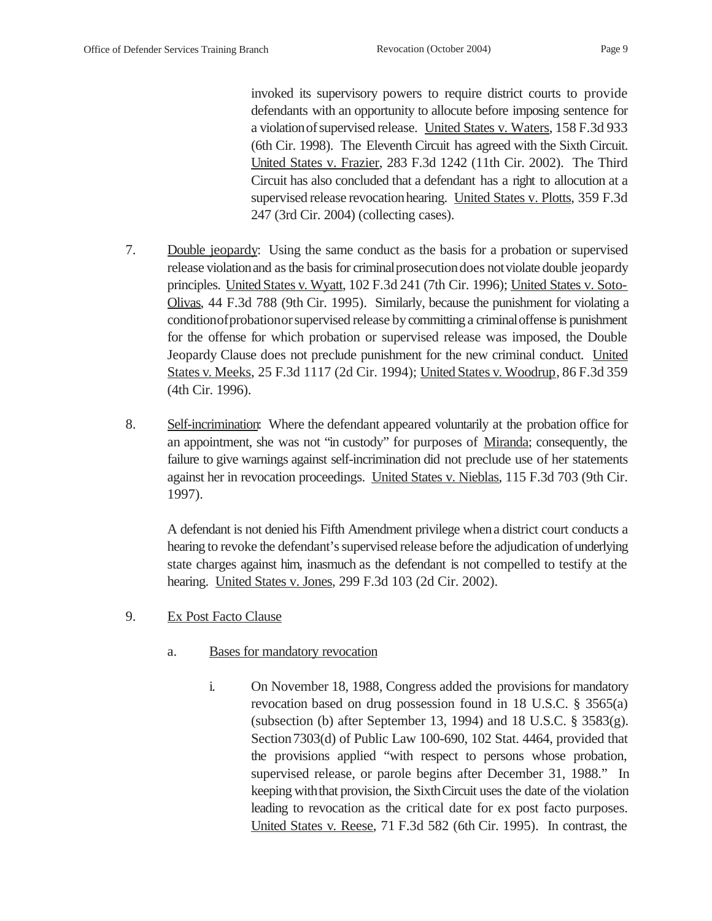invoked its supervisory powers to require district courts to provide defendants with an opportunity to allocute before imposing sentence for a violationofsupervised release. United States v. Waters, 158 F.3d 933 (6th Cir. 1998). The Eleventh Circuit has agreed with the Sixth Circuit. United States v. Frazier, 283 F.3d 1242 (11th Cir. 2002). The Third Circuit has also concluded that a defendant has a right to allocution at a supervised release revocation hearing. United States v. Plotts, 359 F.3d 247 (3rd Cir. 2004) (collecting cases).

- 7. Double jeopardy: Using the same conduct as the basis for a probation or supervised release violationand as the basis for criminalprosecutiondoes notviolate double jeopardy principles. United States v. Wyatt, 102 F.3d 241 (7th Cir. 1996); United States v. Soto-Olivas, 44 F.3d 788 (9th Cir. 1995). Similarly, because the punishment for violating a conditionofprobationorsupervised release bycommitting a criminaloffense is punishment for the offense for which probation or supervised release was imposed, the Double Jeopardy Clause does not preclude punishment for the new criminal conduct. United States v. Meeks, 25 F.3d 1117 (2d Cir. 1994); United States v. Woodrup, 86 F.3d 359 (4th Cir. 1996).
- 8. Self-incrimination: Where the defendant appeared voluntarily at the probation office for an appointment, she was not "in custody" for purposes of Miranda; consequently, the failure to give warnings against self-incrimination did not preclude use of her statements against her in revocation proceedings. United States v. Nieblas, 115 F.3d 703 (9th Cir. 1997).

A defendant is not denied his Fifth Amendment privilege whena district court conducts a hearing to revoke the defendant's supervised release before the adjudication ofunderlying state charges against him, inasmuch as the defendant is not compelled to testify at the hearing. United States v. Jones, 299 F.3d 103 (2d Cir. 2002).

- 9. Ex Post Facto Clause
	- a. Bases for mandatory revocation
		- i. On November 18, 1988, Congress added the provisions for mandatory revocation based on drug possession found in 18 U.S.C. § 3565(a) (subsection (b) after September 13, 1994) and 18 U.S.C.  $\S$  3583(g). Section 7303(d) of Public Law 100-690, 102 Stat. 4464, provided that the provisions applied "with respect to persons whose probation, supervised release, or parole begins after December 31, 1988." In keeping with that provision, the Sixth Circuit uses the date of the violation leading to revocation as the critical date for ex post facto purposes. United States v. Reese, 71 F.3d 582 (6th Cir. 1995). In contrast, the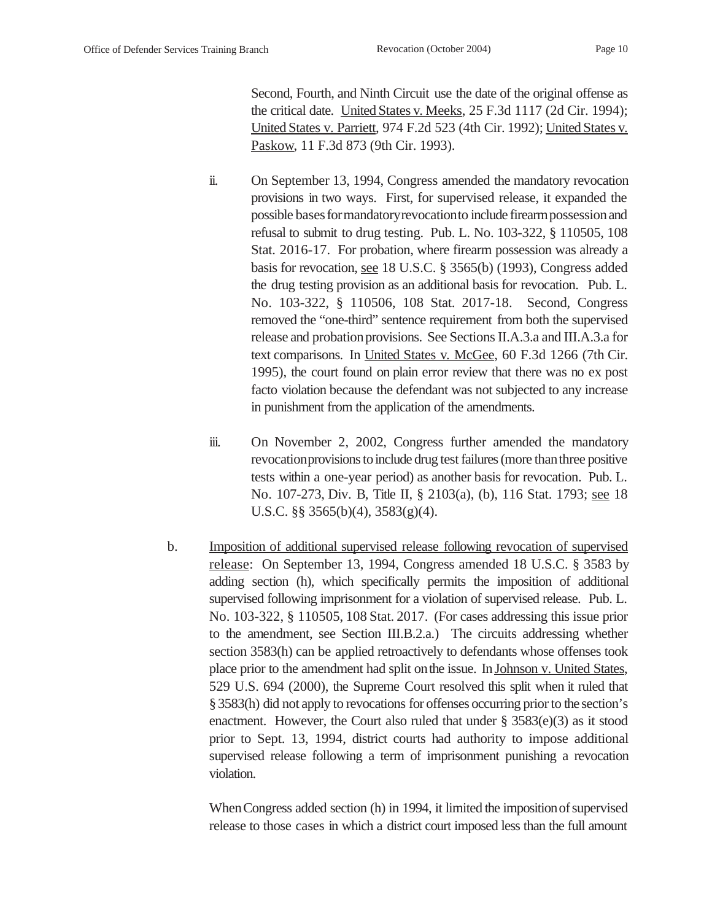Second, Fourth, and Ninth Circuit use the date of the original offense as the critical date. United States v. Meeks, 25 F.3d 1117 (2d Cir. 1994); United States v. Parriett, 974 F.2d 523 (4th Cir. 1992); United States v. Paskow, 11 F.3d 873 (9th Cir. 1993).

- ii. On September 13, 1994, Congress amended the mandatory revocation provisions in two ways. First, for supervised release, it expanded the possible bases for mandatory revocation to include firearm possession and refusal to submit to drug testing. Pub. L. No. 103-322, § 110505, 108 Stat. 2016-17. For probation, where firearm possession was already a basis for revocation, see 18 U.S.C. § 3565(b) (1993), Congress added the drug testing provision as an additional basis for revocation. Pub. L. No. 103-322, § 110506, 108 Stat. 2017-18. Second, Congress removed the "one-third" sentence requirement from both the supervised release and probation provisions. See Sections II.A.3.a and III.A.3.a for text comparisons. In United States v. McGee, 60 F.3d 1266 (7th Cir. 1995), the court found on plain error review that there was no ex post facto violation because the defendant was not subjected to any increase in punishment from the application of the amendments.
- iii. On November 2, 2002, Congress further amended the mandatory revocation provisions to include drug test failures (more than three positive tests within a one-year period) as another basis for revocation. Pub. L. No. 107-273, Div. B, Title II, § 2103(a), (b), 116 Stat. 1793; see 18 U.S.C. §§ 3565(b)(4), 3583(g)(4).
- b. Imposition of additional supervised release following revocation of supervised release: On September 13, 1994, Congress amended 18 U.S.C. § 3583 by adding section (h), which specifically permits the imposition of additional supervised following imprisonment for a violation of supervised release. Pub. L. No. 103-322, § 110505, 108 Stat. 2017. (For cases addressing this issue prior to the amendment, see Section III.B.2.a.) The circuits addressing whether section 3583(h) can be applied retroactively to defendants whose offenses took place prior to the amendment had split onthe issue. In Johnson v. United States, 529 U.S. 694 (2000), the Supreme Court resolved this split when it ruled that §3583(h) did not apply to revocations for offenses occurring prior to the section's enactment. However, the Court also ruled that under § 3583(e)(3) as it stood prior to Sept. 13, 1994, district courts had authority to impose additional supervised release following a term of imprisonment punishing a revocation violation.

When Congress added section (h) in 1994, it limited the imposition of supervised release to those cases in which a district court imposed less than the full amount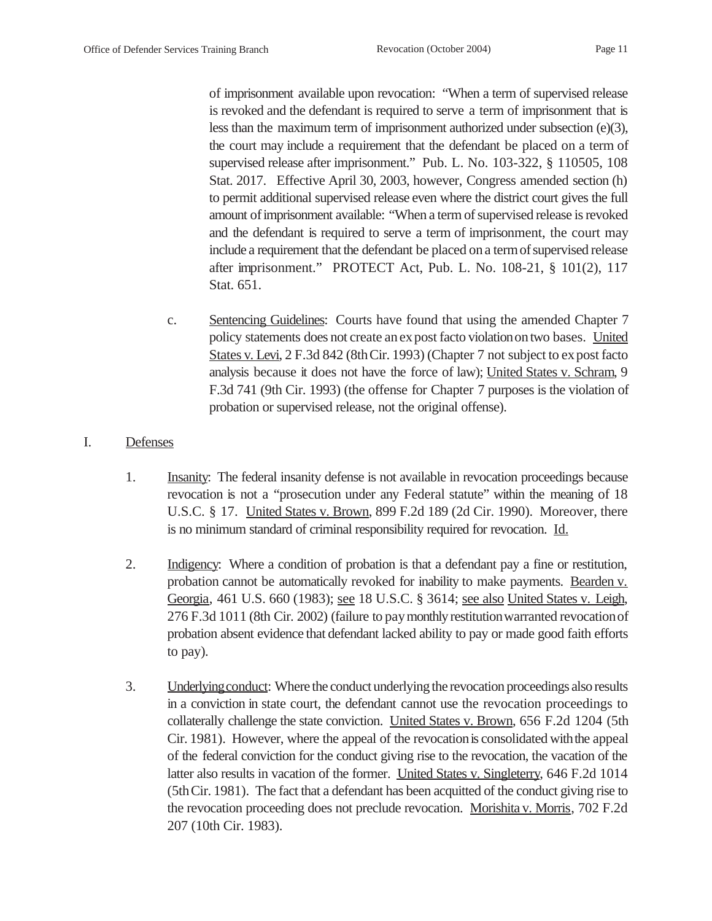of imprisonment available upon revocation: "When a term of supervised release is revoked and the defendant is required to serve a term of imprisonment that is less than the maximum term of imprisonment authorized under subsection (e)(3), the court may include a requirement that the defendant be placed on a term of supervised release after imprisonment." Pub. L. No. 103-322, § 110505, 108 Stat. 2017. Effective April 30, 2003, however, Congress amended section (h) to permit additional supervised release even where the district court gives the full amount ofimprisonment available: "When a term of supervised release is revoked and the defendant is required to serve a term of imprisonment, the court may include a requirement that the defendant be placed on a term of supervised release after imprisonment." PROTECT Act, Pub. L. No. 108-21, § 101(2), 117 Stat. 651.

c. Sentencing Guidelines: Courts have found that using the amended Chapter 7 policy statements does not create anexpost facto violation on two bases. United States v. Levi, 2 F.3d 842 (8th Cir. 1993) (Chapter 7 not subject to expost facto analysis because it does not have the force of law); United States v. Schram, 9 F.3d 741 (9th Cir. 1993) (the offense for Chapter 7 purposes is the violation of probation or supervised release, not the original offense).

#### I. Defenses

- 1. Insanity: The federal insanity defense is not available in revocation proceedings because revocation is not a "prosecution under any Federal statute" within the meaning of 18 U.S.C. § 17. United States v. Brown, 899 F.2d 189 (2d Cir. 1990). Moreover, there is no minimum standard of criminal responsibility required for revocation. Id.
- 2. Indigency: Where a condition of probation is that a defendant pay a fine or restitution, probation cannot be automatically revoked for inability to make payments. Bearden v. Georgia, 461 U.S. 660 (1983); see 18 U.S.C. § 3614; see also United States v. Leigh, 276 F.3d 1011 (8th Cir. 2002) (failure to pay monthly restitution warranted revocation of probation absent evidence that defendant lacked ability to pay or made good faith efforts to pay).
- 3. Underlyingconduct: Where the conduct underlying the revocation proceedings also results in a conviction in state court, the defendant cannot use the revocation proceedings to collaterally challenge the state conviction. United States v. Brown, 656 F.2d 1204 (5th Cir. 1981). However, where the appeal of the revocationis consolidated withthe appeal of the federal conviction for the conduct giving rise to the revocation, the vacation of the latter also results in vacation of the former. United States v. Singleterry, 646 F.2d 1014 (5thCir. 1981). The fact that a defendant has been acquitted of the conduct giving rise to the revocation proceeding does not preclude revocation. Morishita v. Morris, 702 F.2d 207 (10th Cir. 1983).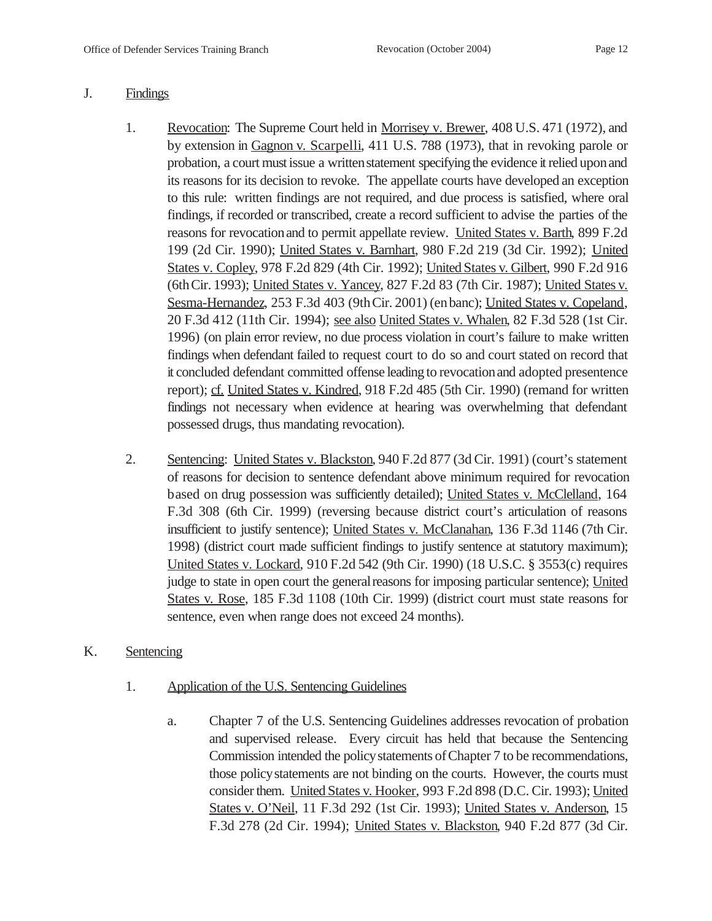#### J. Findings

- 1. Revocation: The Supreme Court held in Morrisey v. Brewer, 408 U.S. 471 (1972), and by extension in Gagnon v. Scarpelli, 411 U.S. 788 (1973), that in revoking parole or probation, a court must issue a written statement specifying the evidence it relied upon and its reasons for its decision to revoke. The appellate courts have developed an exception to this rule: written findings are not required, and due process is satisfied, where oral findings, if recorded or transcribed, create a record sufficient to advise the parties of the reasons for revocationand to permit appellate review. United States v. Barth, 899 F.2d 199 (2d Cir. 1990); United States v. Barnhart, 980 F.2d 219 (3d Cir. 1992); United States v. Copley, 978 F.2d 829 (4th Cir. 1992); United States v. Gilbert, 990 F.2d 916 (6thCir. 1993); United States v. Yancey, 827 F.2d 83 (7th Cir. 1987); United States v. Sesma-Hernandez, 253 F.3d 403 (9thCir. 2001) (enbanc); United States v. Copeland, 20 F.3d 412 (11th Cir. 1994); see also United States v. Whalen, 82 F.3d 528 (1st Cir. 1996) (on plain error review, no due process violation in court's failure to make written findings when defendant failed to request court to do so and court stated on record that it concluded defendant committed offense leading to revocationand adopted presentence report); cf. United States v. Kindred, 918 F.2d 485 (5th Cir. 1990) (remand for written findings not necessary when evidence at hearing was overwhelming that defendant possessed drugs, thus mandating revocation).
- 2. Sentencing: United States v. Blackston, 940 F.2d 877 (3d Cir. 1991) (court's statement of reasons for decision to sentence defendant above minimum required for revocation based on drug possession was sufficiently detailed); United States v. McClelland, 164 F.3d 308 (6th Cir. 1999) (reversing because district court's articulation of reasons insufficient to justify sentence); United States v. McClanahan, 136 F.3d 1146 (7th Cir. 1998) (district court made sufficient findings to justify sentence at statutory maximum); United States v. Lockard, 910 F.2d 542 (9th Cir. 1990) (18 U.S.C. § 3553(c) requires judge to state in open court the general reasons for imposing particular sentence); United States v. Rose, 185 F.3d 1108 (10th Cir. 1999) (district court must state reasons for sentence, even when range does not exceed 24 months).

## K. Sentencing

- 1. Application of the U.S. Sentencing Guidelines
	- a. Chapter 7 of the U.S. Sentencing Guidelines addresses revocation of probation and supervised release. Every circuit has held that because the Sentencing Commission intended the policystatements ofChapter 7 to be recommendations, those policystatements are not binding on the courts. However, the courts must consider them. United States v. Hooker, 993 F.2d 898 (D.C. Cir. 1993); United States v. O'Neil, 11 F.3d 292 (1st Cir. 1993); United States v. Anderson, 15 F.3d 278 (2d Cir. 1994); United States v. Blackston, 940 F.2d 877 (3d Cir.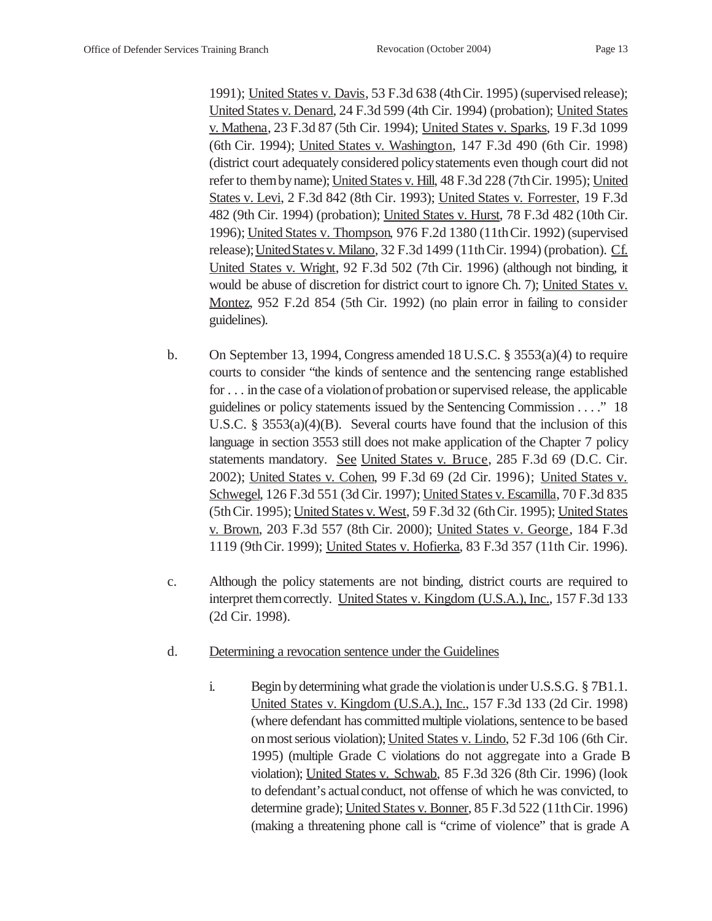1991); United States v. Davis, 53 F.3d 638 (4thCir. 1995) (supervised release); United States v. Denard, 24 F.3d 599 (4th Cir. 1994) (probation); United States v. Mathena, 23 F.3d 87 (5th Cir. 1994); United States v. Sparks, 19 F.3d 1099 (6th Cir. 1994); United States v. Washington, 147 F.3d 490 (6th Cir. 1998) (district court adequately considered policystatements even though court did not refer to themby name); United States v. Hill, 48 F.3d 228 (7thCir. 1995); United States v. Levi, 2 F.3d 842 (8th Cir. 1993); United States v. Forrester, 19 F.3d 482 (9th Cir. 1994) (probation); United States v. Hurst, 78 F.3d 482 (10th Cir. 1996); United States v. Thompson, 976 F.2d 1380 (11thCir. 1992) (supervised release);UnitedStatesv. Milano, 32 F.3d 1499 (11thCir. 1994) (probation). Cf. United States v. Wright, 92 F.3d 502 (7th Cir. 1996) (although not binding, it would be abuse of discretion for district court to ignore Ch. 7); United States v. Montez, 952 F.2d 854 (5th Cir. 1992) (no plain error in failing to consider guidelines).

- b. On September 13, 1994, Congress amended 18 U.S.C.  $\S$  3553(a)(4) to require courts to consider "the kinds of sentence and the sentencing range established for . . . in the case of a violation of probation or supervised release, the applicable guidelines or policy statements issued by the Sentencing Commission . . . ." 18 U.S.C. § 3553(a)(4)(B). Several courts have found that the inclusion of this language in section 3553 still does not make application of the Chapter 7 policy statements mandatory. See United States v. Bruce, 285 F.3d 69 (D.C. Cir. 2002); United States v. Cohen, 99 F.3d 69 (2d Cir. 1996); United States v. Schwegel, 126 F.3d 551 (3d Cir. 1997); United States v. Escamilla, 70 F.3d 835 (5thCir. 1995); United States v. West, 59 F.3d 32 (6thCir. 1995); United States v. Brown, 203 F.3d 557 (8th Cir. 2000); United States v. George, 184 F.3d 1119 (9thCir. 1999); United States v. Hofierka, 83 F.3d 357 (11th Cir. 1996).
- c. Although the policy statements are not binding, district courts are required to interpret themcorrectly. United States v. Kingdom (U.S.A.), Inc., 157 F.3d 133 (2d Cir. 1998).
- d. Determining a revocation sentence under the Guidelines
	- i. Begin by determining what grade the violationis under U.S.S.G. § 7B1.1. United States v. Kingdom (U.S.A.), Inc., 157 F.3d 133 (2d Cir. 1998) (where defendant has committed multiple violations, sentence to be based on most serious violation); United States v. Lindo, 52 F.3d 106 (6th Cir. 1995) (multiple Grade C violations do not aggregate into a Grade B violation); United States v. Schwab, 85 F.3d 326 (8th Cir. 1996) (look to defendant's actual conduct, not offense of which he was convicted, to determine grade); United States v. Bonner, 85 F.3d 522 (11thCir. 1996) (making a threatening phone call is "crime of violence" that is grade A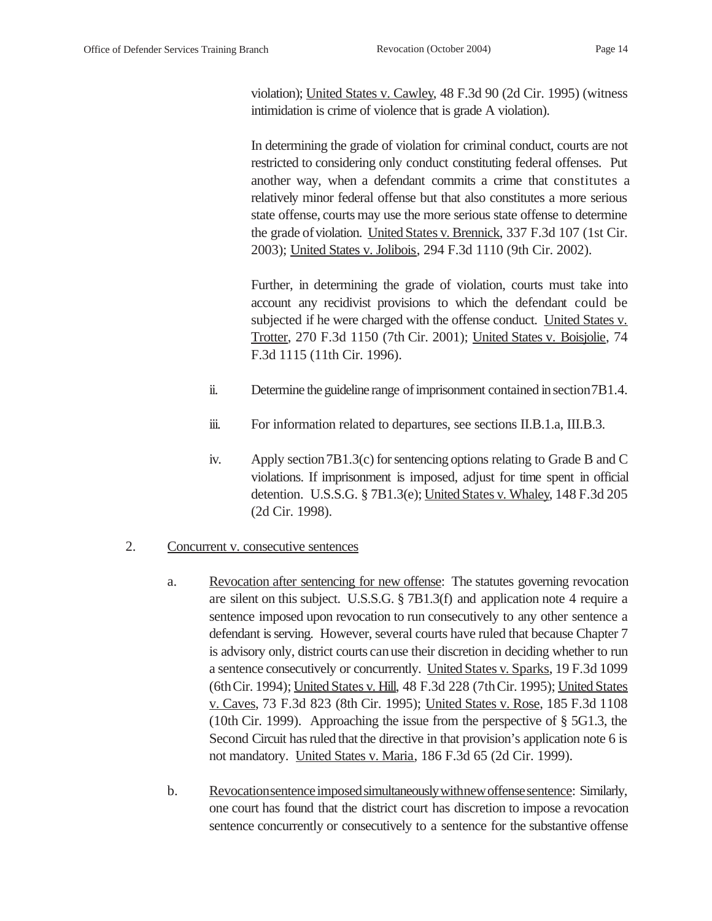violation); United States v. Cawley, 48 F.3d 90 (2d Cir. 1995) (witness intimidation is crime of violence that is grade A violation).

In determining the grade of violation for criminal conduct, courts are not restricted to considering only conduct constituting federal offenses. Put another way, when a defendant commits a crime that constitutes a relatively minor federal offense but that also constitutes a more serious state offense, courts may use the more serious state offense to determine the grade of violation. United States v. Brennick, 337 F.3d 107 (1st Cir. 2003); United States v. Jolibois, 294 F.3d 1110 (9th Cir. 2002).

Further, in determining the grade of violation, courts must take into account any recidivist provisions to which the defendant could be subjected if he were charged with the offense conduct. United States v. Trotter, 270 F.3d 1150 (7th Cir. 2001); United States v. Boisjolie, 74 F.3d 1115 (11th Cir. 1996).

- ii. Determine the guideline range of imprisonment contained in section 7B1.4.
- iii. For information related to departures, see sections II.B.1.a, III.B.3.
- iv. Apply section7B1.3(c) for sentencing options relating to Grade B and C violations. If imprisonment is imposed, adjust for time spent in official detention. U.S.S.G. § 7B1.3(e); United States v. Whaley, 148 F.3d 205 (2d Cir. 1998).

## 2. Concurrent v. consecutive sentences

- a. Revocation after sentencing for new offense: The statutes governing revocation are silent on this subject. U.S.S.G. § 7B1.3(f) and application note 4 require a sentence imposed upon revocation to run consecutively to any other sentence a defendant is serving. However, several courts have ruled that because Chapter 7 is advisory only, district courts canuse their discretion in deciding whether to run a sentence consecutively or concurrently. United States v. Sparks, 19 F.3d 1099 (6thCir. 1994); United States v. Hill, 48 F.3d 228 (7thCir. 1995); United States v. Caves, 73 F.3d 823 (8th Cir. 1995); United States v. Rose, 185 F.3d 1108 (10th Cir. 1999). Approaching the issue from the perspective of § 5G1.3, the Second Circuit has ruled that the directive in that provision's application note 6 is not mandatory. United States v. Maria, 186 F.3d 65 (2d Cir. 1999).
- b. Revocationsentence imposed simultaneously with new offense sentence: Similarly, one court has found that the district court has discretion to impose a revocation sentence concurrently or consecutively to a sentence for the substantive offense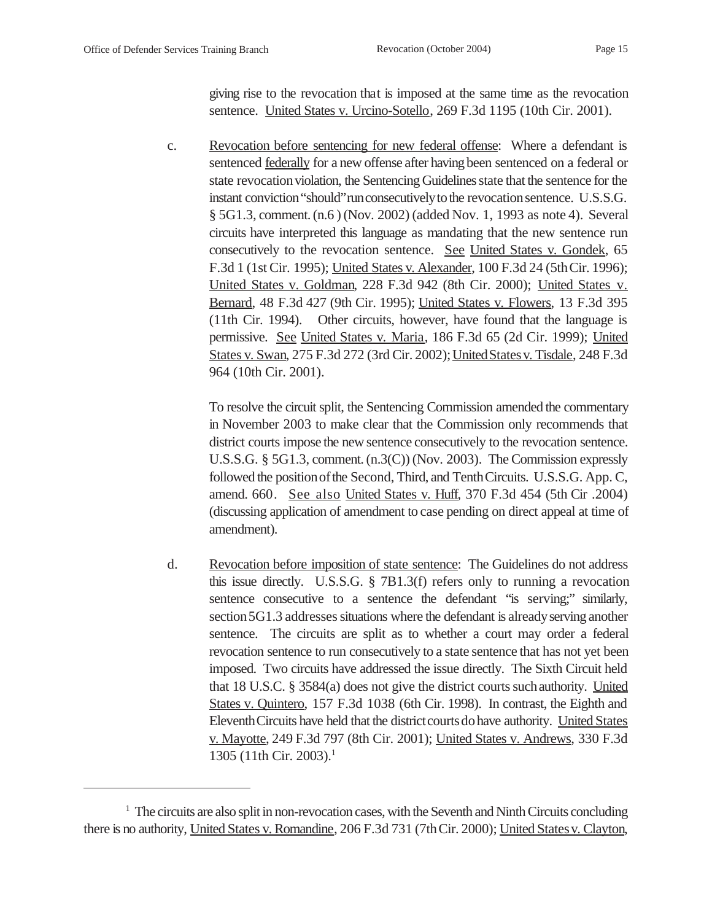giving rise to the revocation that is imposed at the same time as the revocation sentence. United States v. Urcino-Sotello, 269 F.3d 1195 (10th Cir. 2001).

c. Revocation before sentencing for new federal offense: Where a defendant is sentenced federally for a new offense after having been sentenced on a federal or state revocation violation, the Sentencing Guidelines state that the sentence for the instant conviction "should" run consecutively to the revocation sentence. U.S.S.G. § 5G1.3, comment. (n.6 ) (Nov. 2002) (added Nov. 1, 1993 as note 4). Several circuits have interpreted this language as mandating that the new sentence run consecutively to the revocation sentence. See United States v. Gondek, 65 F.3d 1 (1st Cir. 1995); United States v. Alexander, 100 F.3d 24 (5thCir. 1996); United States v. Goldman, 228 F.3d 942 (8th Cir. 2000); United States v. Bernard, 48 F.3d 427 (9th Cir. 1995); United States v. Flowers, 13 F.3d 395 (11th Cir. 1994). Other circuits, however, have found that the language is permissive. See United States v. Maria, 186 F.3d 65 (2d Cir. 1999); United States v. Swan, 275 F.3d 272 (3rd Cir. 2002); United States v. Tisdale, 248 F.3d 964 (10th Cir. 2001).

To resolve the circuit split, the Sentencing Commission amended the commentary in November 2003 to make clear that the Commission only recommends that district courts impose the new sentence consecutively to the revocation sentence. U.S.S.G. § 5G1.3, comment.(n.3(C)) (Nov. 2003). The Commission expressly followed the position of the Second, Third, and Tenth Circuits. U.S.S.G. App. C, amend. 660. See also United States v. Huff, 370 F.3d 454 (5th Cir .2004) (discussing application of amendment to case pending on direct appeal at time of amendment).

d. Revocation before imposition of state sentence: The Guidelines do not address this issue directly. U.S.S.G. § 7B1.3(f) refers only to running a revocation sentence consecutive to a sentence the defendant "is serving;" similarly, section 5G1.3 addresses situations where the defendant is already serving another sentence. The circuits are split as to whether a court may order a federal revocation sentence to run consecutively to a state sentence that has not yet been imposed. Two circuits have addressed the issue directly. The Sixth Circuit held that 18 U.S.C. § 3584(a) does not give the district courts suchauthority. United States v. Quintero, 157 F.3d 1038 (6th Cir. 1998). In contrast, the Eighth and Eleventh Circuits have held that the district courts do have authority. United States v. Mayotte, 249 F.3d 797 (8th Cir. 2001); United States v. Andrews, 330 F.3d 1305 (11th Cir. 2003).1

<sup>&</sup>lt;sup>1</sup> The circuits are also split in non-revocation cases, with the Seventh and Ninth Circuits concluding there is no authority, United States v. Romandine, 206 F.3d 731 (7th Cir. 2000); United States v. Clayton,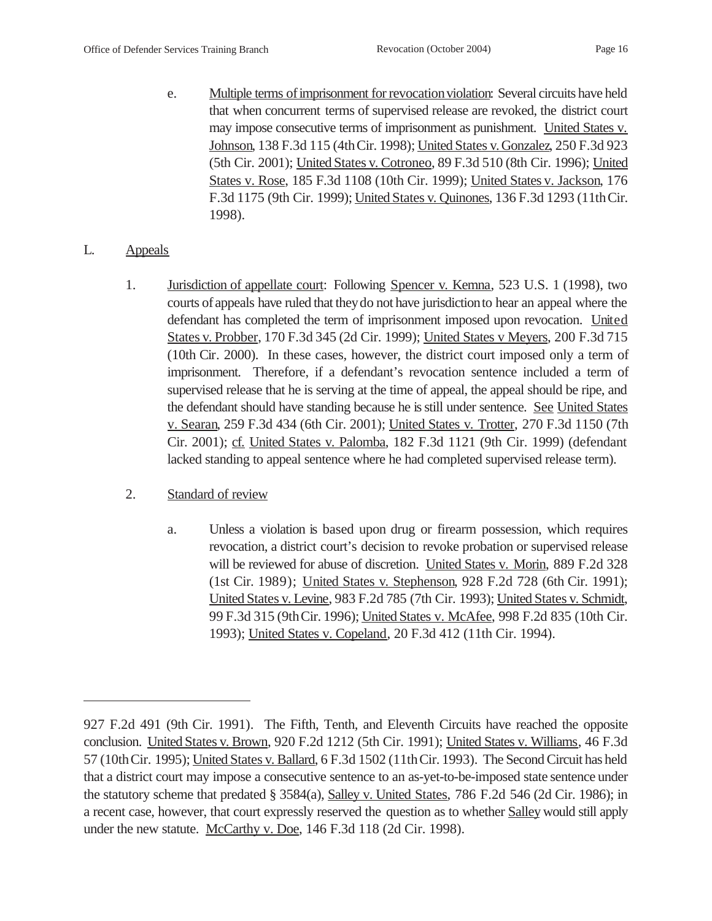e. Multiple terms of imprisonment for revocation violation: Several circuits have held that when concurrent terms of supervised release are revoked, the district court may impose consecutive terms of imprisonment as punishment. United States v. Johnson, 138 F.3d 115 (4thCir. 1998); United States v. Gonzalez, 250 F.3d 923 (5th Cir. 2001); United States v. Cotroneo, 89 F.3d 510 (8th Cir. 1996); United States v. Rose, 185 F.3d 1108 (10th Cir. 1999); United States v. Jackson, 176 F.3d 1175 (9th Cir. 1999); United States v. Quinones, 136 F.3d 1293 (11thCir. 1998).

## L. Appeals

1. Jurisdiction of appellate court: Following Spencer v. Kemna, 523 U.S. 1 (1998), two courts ofappeals have ruled that theydo not have jurisdictionto hear an appeal where the defendant has completed the term of imprisonment imposed upon revocation. United States v. Probber, 170 F.3d 345 (2d Cir. 1999); United States v Meyers, 200 F.3d 715 (10th Cir. 2000). In these cases, however, the district court imposed only a term of imprisonment. Therefore, if a defendant's revocation sentence included a term of supervised release that he is serving at the time of appeal, the appeal should be ripe, and the defendant should have standing because he is still under sentence. See United States v. Searan, 259 F.3d 434 (6th Cir. 2001); United States v. Trotter, 270 F.3d 1150 (7th Cir. 2001); cf. United States v. Palomba, 182 F.3d 1121 (9th Cir. 1999) (defendant lacked standing to appeal sentence where he had completed supervised release term).

## 2. Standard of review

a. Unless a violation is based upon drug or firearm possession, which requires revocation, a district court's decision to revoke probation or supervised release will be reviewed for abuse of discretion. United States v. Morin, 889 F.2d 328 (1st Cir. 1989); United States v. Stephenson, 928 F.2d 728 (6th Cir. 1991); United States v. Levine, 983 F.2d 785 (7th Cir. 1993); United States v. Schmidt, 99 F.3d 315 (9thCir. 1996); United States v. McAfee, 998 F.2d 835 (10th Cir. 1993); United States v. Copeland, 20 F.3d 412 (11th Cir. 1994).

<sup>927</sup> F.2d 491 (9th Cir. 1991). The Fifth, Tenth, and Eleventh Circuits have reached the opposite conclusion. United States v. Brown, 920 F.2d 1212 (5th Cir. 1991); United States v. Williams, 46 F.3d 57 (10thCir. 1995); United States v. Ballard, 6 F.3d 1502 (11thCir. 1993). The Second Circuit has held that a district court may impose a consecutive sentence to an as-yet-to-be-imposed state sentence under the statutory scheme that predated § 3584(a), Salley v. United States, 786 F.2d 546 (2d Cir. 1986); in a recent case, however, that court expressly reserved the question as to whether Salley would still apply under the new statute. McCarthy v. Doe, 146 F.3d 118 (2d Cir. 1998).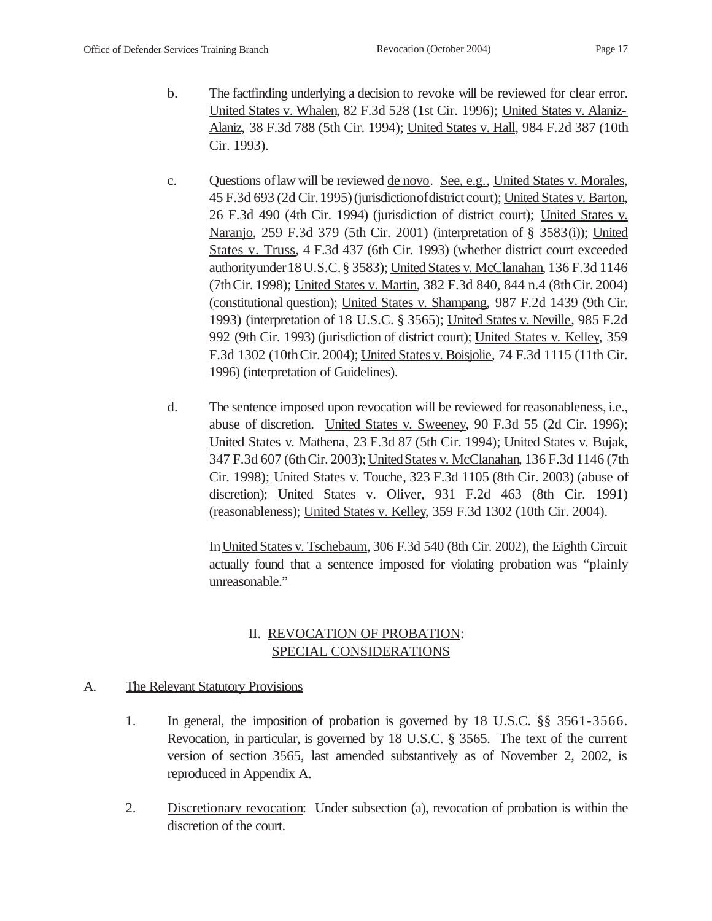- b. The factfinding underlying a decision to revoke will be reviewed for clear error. United States v. Whalen, 82 F.3d 528 (1st Cir. 1996); United States v. Alaniz-Alaniz, 38 F.3d 788 (5th Cir. 1994); United States v. Hall, 984 F.2d 387 (10th Cir. 1993).
- c. Questions oflaw will be reviewed de novo. See, e.g., United States v. Morales, 45 F.3d 693 (2d Cir.1995)(jurisdictionofdistrict court); United States v. Barton, 26 F.3d 490 (4th Cir. 1994) (jurisdiction of district court); United States v. Naranjo, 259 F.3d 379 (5th Cir. 2001) (interpretation of § 3583(i)); United States v. Truss, 4 F.3d 437 (6th Cir. 1993) (whether district court exceeded authorityunder18U.S.C.§ 3583); United States v. McClanahan, 136 F.3d 1146 (7thCir. 1998); United States v. Martin, 382 F.3d 840, 844 n.4 (8thCir. 2004) (constitutional question); United States v. Shampang, 987 F.2d 1439 (9th Cir. 1993) (interpretation of 18 U.S.C. § 3565); United States v. Neville, 985 F.2d 992 (9th Cir. 1993) (jurisdiction of district court); United States v. Kelley, 359 F.3d 1302 (10thCir. 2004); United States v. Boisjolie, 74 F.3d 1115 (11th Cir. 1996) (interpretation of Guidelines).
- d. The sentence imposed upon revocation will be reviewed for reasonableness, i.e., abuse of discretion. United States v. Sweeney, 90 F.3d 55 (2d Cir. 1996); United States v. Mathena, 23 F.3d 87 (5th Cir. 1994); United States v. Bujak, 347 F.3d 607 (6thCir. 2003);UnitedStates v. McClanahan, 136 F.3d 1146 (7th Cir. 1998); United States v. Touche, 323 F.3d 1105 (8th Cir. 2003) (abuse of discretion); United States v. Oliver, 931 F.2d 463 (8th Cir. 1991) (reasonableness); United States v. Kelley, 359 F.3d 1302 (10th Cir. 2004).

InUnited States v. Tschebaum, 306 F.3d 540 (8th Cir. 2002), the Eighth Circuit actually found that a sentence imposed for violating probation was "plainly unreasonable."

# II. REVOCATION OF PROBATION: SPECIAL CONSIDERATIONS

## A. The Relevant Statutory Provisions

- 1. In general, the imposition of probation is governed by 18 U.S.C. §§ 3561-3566. Revocation, in particular, is governed by 18 U.S.C. § 3565. The text of the current version of section 3565, last amended substantively as of November 2, 2002, is reproduced in Appendix A.
- 2. Discretionary revocation: Under subsection (a), revocation of probation is within the discretion of the court.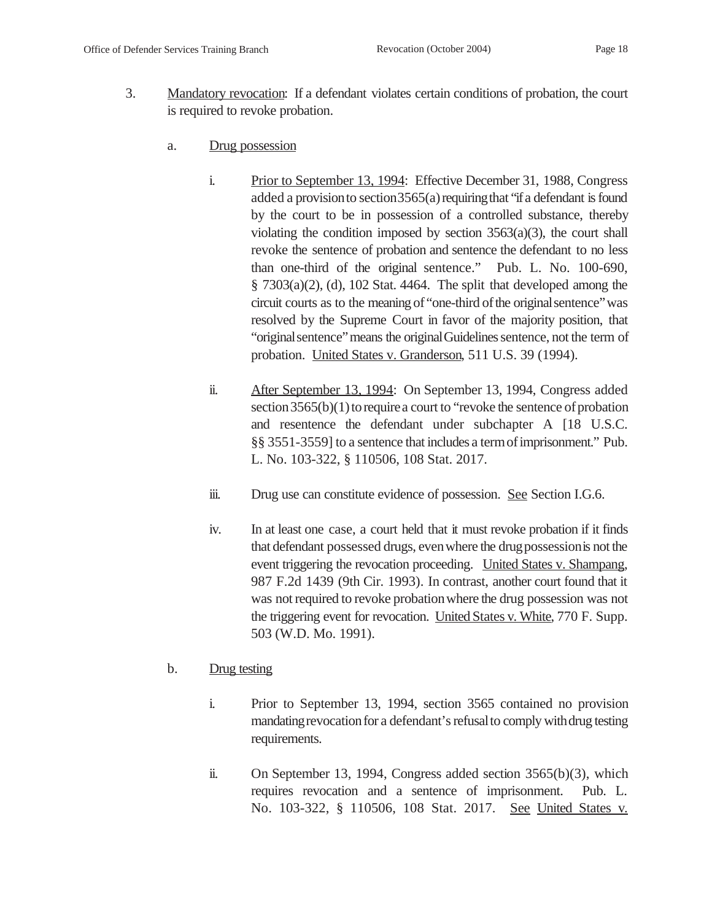- 3. Mandatory revocation: If a defendant violates certain conditions of probation, the court is required to revoke probation.
	- a. Drug possession
		- i. Prior to September 13, 1994: Effective December 31, 1988, Congress added a provision to section  $3565(a)$  requiring that "if a defendant is found by the court to be in possession of a controlled substance, thereby violating the condition imposed by section  $3563(a)(3)$ , the court shall revoke the sentence of probation and sentence the defendant to no less than one-third of the original sentence." Pub. L. No. 100-690, § 7303(a)(2), (d), 102 Stat. 4464. The split that developed among the circuit courts as to the meaning of "one-third of the original sentence" was resolved by the Supreme Court in favor of the majority position, that "original sentence" means the original Guidelines sentence, not the term of probation. United States v. Granderson, 511 U.S. 39 (1994).
		- ii. After September 13, 1994: On September 13, 1994, Congress added section  $3565(b)(1)$  to require a court to "revoke the sentence of probation" and resentence the defendant under subchapter A [18 U.S.C. §§ 3551-3559] to a sentence that includes a termofimprisonment." Pub. L. No. 103-322, § 110506, 108 Stat. 2017.
		- iii. Drug use can constitute evidence of possession. See Section I.G.6.
		- iv. In at least one case, a court held that it must revoke probation if it finds that defendant possessed drugs, evenwhere the drugpossessionis not the event triggering the revocation proceeding. United States v. Shampang, 987 F.2d 1439 (9th Cir. 1993). In contrast, another court found that it was not required to revoke probation where the drug possession was not the triggering event for revocation. United States v. White, 770 F. Supp. 503 (W.D. Mo. 1991).

## b. Drug testing

- i. Prior to September 13, 1994, section 3565 contained no provision mandating revocation for a defendant's refusal to comply with drug testing requirements.
- ii. On September 13, 1994, Congress added section 3565(b)(3), which requires revocation and a sentence of imprisonment. Pub. L. No. 103-322, § 110506, 108 Stat. 2017. See United States v.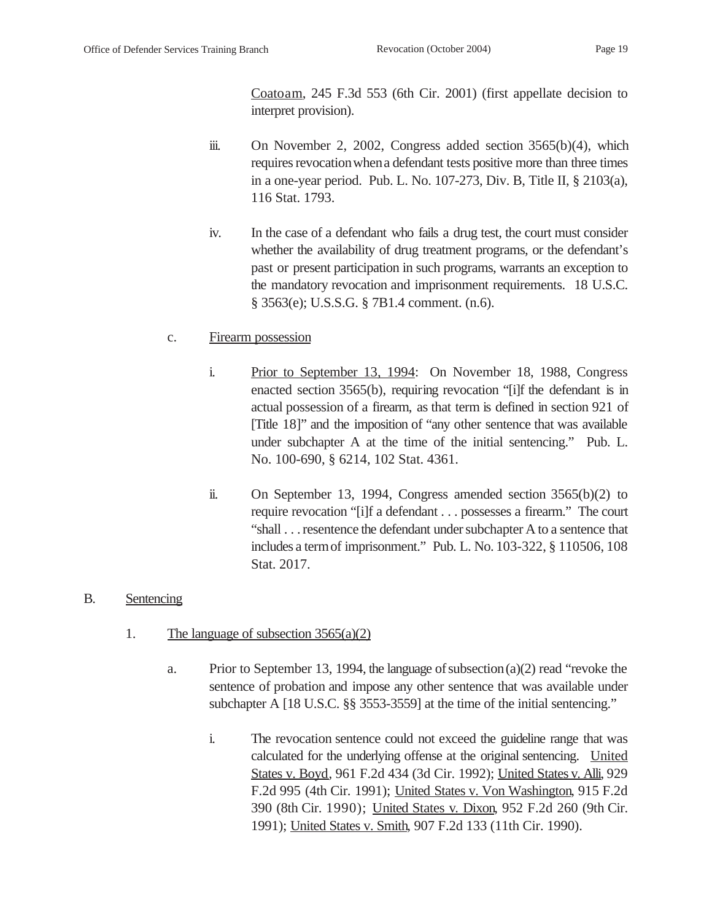Coatoam, 245 F.3d 553 (6th Cir. 2001) (first appellate decision to interpret provision).

- iii. On November 2, 2002, Congress added section 3565(b)(4), which requires revocationwhena defendant tests positive more than three times in a one-year period. Pub. L. No. 107-273, Div. B, Title II, § 2103(a), 116 Stat. 1793.
- iv. In the case of a defendant who fails a drug test, the court must consider whether the availability of drug treatment programs, or the defendant's past or present participation in such programs, warrants an exception to the mandatory revocation and imprisonment requirements. 18 U.S.C. § 3563(e); U.S.S.G. § 7B1.4 comment. (n.6).

## c. Firearm possession

- i. Prior to September 13, 1994: On November 18, 1988, Congress enacted section 3565(b), requiring revocation "[i]f the defendant is in actual possession of a firearm, as that term is defined in section 921 of [Title 18]" and the imposition of "any other sentence that was available under subchapter A at the time of the initial sentencing." Pub. L. No. 100-690, § 6214, 102 Stat. 4361.
- ii. On September 13, 1994, Congress amended section 3565(b)(2) to require revocation "[i]f a defendant . . . possesses a firearm." The court "shall . . . resentence the defendant under subchapter A to a sentence that includes a termof imprisonment." Pub. L. No. 103-322, § 110506, 108 Stat. 2017.

## B. Sentencing

- 1. The language of subsection 3565(a)(2)
	- a. Prior to September 13, 1994, the language of subsection (a)(2) read "revoke the sentence of probation and impose any other sentence that was available under subchapter A [18 U.S.C. §§ 3553-3559] at the time of the initial sentencing."
		- i. The revocation sentence could not exceed the guideline range that was calculated for the underlying offense at the original sentencing. United States v. Boyd, 961 F.2d 434 (3d Cir. 1992); United States v. Alli, 929 F.2d 995 (4th Cir. 1991); United States v. Von Washington, 915 F.2d 390 (8th Cir. 1990); United States v. Dixon, 952 F.2d 260 (9th Cir. 1991); United States v. Smith, 907 F.2d 133 (11th Cir. 1990).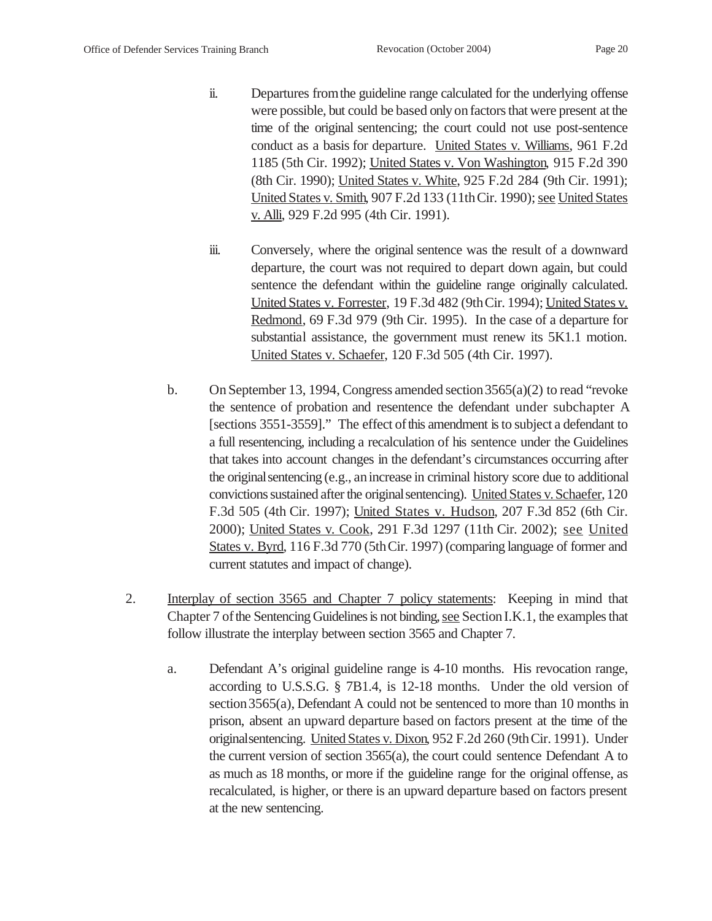- ii. Departures fromthe guideline range calculated for the underlying offense were possible, but could be based only on factors that were present at the time of the original sentencing; the court could not use post-sentence conduct as a basis for departure. United States v. Williams, 961 F.2d 1185 (5th Cir. 1992); United States v. Von Washington, 915 F.2d 390 (8th Cir. 1990); United States v. White, 925 F.2d 284 (9th Cir. 1991); United States v. Smith, 907 F.2d 133 (11thCir. 1990); see United States v. Alli, 929 F.2d 995 (4th Cir. 1991).
- iii. Conversely, where the original sentence was the result of a downward departure, the court was not required to depart down again, but could sentence the defendant within the guideline range originally calculated. United States v. Forrester, 19 F.3d 482 (9thCir. 1994); United States v. Redmond, 69 F.3d 979 (9th Cir. 1995). In the case of a departure for substantial assistance, the government must renew its 5K1.1 motion. United States v. Schaefer, 120 F.3d 505 (4th Cir. 1997).
- b. On September 13, 1994, Congress amended section3565(a)(2) to read "revoke the sentence of probation and resentence the defendant under subchapter A [sections 3551-3559]." The effect of this amendment is to subject a defendant to a full resentencing, including a recalculation of his sentence under the Guidelines that takes into account changes in the defendant's circumstances occurring after the originalsentencing (e.g., anincrease in criminal history score due to additional convictions sustained after the originalsentencing). United States v. Schaefer, 120 F.3d 505 (4th Cir. 1997); United States v. Hudson, 207 F.3d 852 (6th Cir. 2000); United States v. Cook, 291 F.3d 1297 (11th Cir. 2002); see United States v. Byrd, 116 F.3d 770 (5thCir. 1997) (comparing language of former and current statutes and impact of change).
- 2. Interplay of section 3565 and Chapter 7 policy statements: Keeping in mind that Chapter 7 of the Sentencing Guidelines is not binding, see Section I.K.1, the examples that follow illustrate the interplay between section 3565 and Chapter 7.
	- a. Defendant A's original guideline range is 4-10 months. His revocation range, according to U.S.S.G. § 7B1.4, is 12-18 months. Under the old version of section 3565(a), Defendant A could not be sentenced to more than 10 months in prison, absent an upward departure based on factors present at the time of the originalsentencing. United States v. Dixon, 952 F.2d 260 (9thCir. 1991). Under the current version of section 3565(a), the court could sentence Defendant A to as much as 18 months, or more if the guideline range for the original offense, as recalculated, is higher, or there is an upward departure based on factors present at the new sentencing.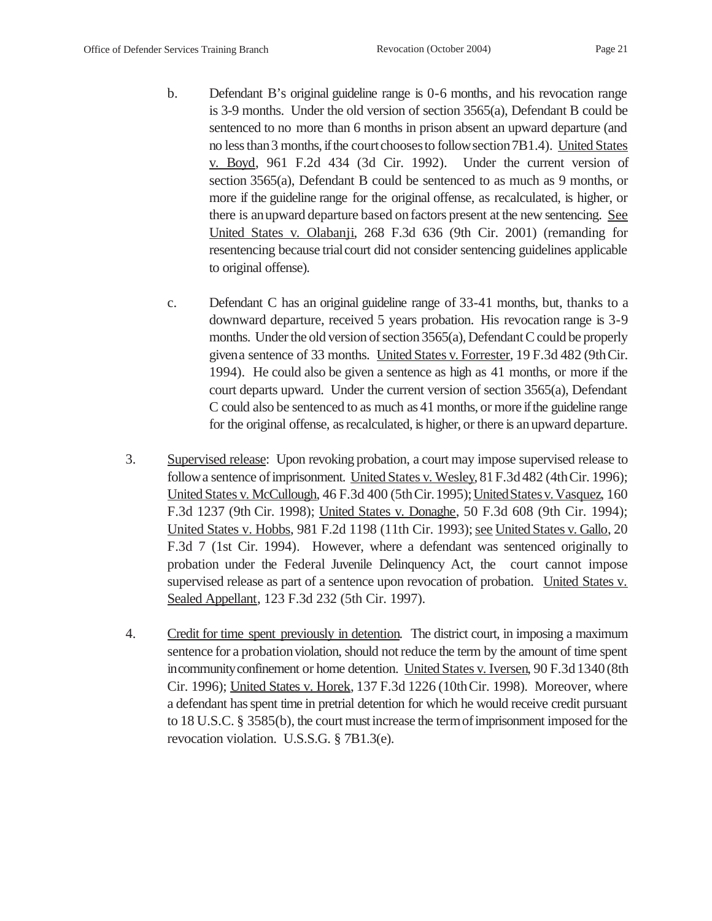- b. Defendant B's original guideline range is 0-6 months, and his revocation range is 3-9 months. Under the old version of section 3565(a), Defendant B could be sentenced to no more than 6 months in prison absent an upward departure (and no less than 3 months, if the court chooses to follow section 7B1.4). United States v. Boyd, 961 F.2d 434 (3d Cir. 1992). Under the current version of section 3565(a), Defendant B could be sentenced to as much as 9 months, or more if the guideline range for the original offense, as recalculated, is higher, or there is anupward departure based on factors present at the new sentencing. See United States v. Olabanji, 268 F.3d 636 (9th Cir. 2001) (remanding for resentencing because trialcourt did not consider sentencing guidelines applicable to original offense).
- c. Defendant C has an original guideline range of 33-41 months, but, thanks to a downward departure, received 5 years probation. His revocation range is 3-9 months. Under the old version of section 3565(a), Defendant C could be properly givena sentence of 33 months. United States v. Forrester, 19 F.3d 482 (9thCir. 1994). He could also be given a sentence as high as 41 months, or more if the court departs upward. Under the current version of section 3565(a), Defendant C could also be sentenced to as much as 41 months, or more if the guideline range for the original offense, as recalculated, is higher, or there is anupward departure.
- 3. Supervised release: Upon revoking probation, a court may impose supervised release to follow a sentence of imprisonment. United States v. Wesley, 81 F.3d 482 (4th Cir. 1996); United States v. McCullough, 46 F.3d 400 (5thCir.1995);UnitedStatesv. Vasquez, 160 F.3d 1237 (9th Cir. 1998); United States v. Donaghe, 50 F.3d 608 (9th Cir. 1994); United States v. Hobbs, 981 F.2d 1198 (11th Cir. 1993); see United States v. Gallo, 20 F.3d 7 (1st Cir. 1994). However, where a defendant was sentenced originally to probation under the Federal Juvenile Delinquency Act, the court cannot impose supervised release as part of a sentence upon revocation of probation. United States v. Sealed Appellant, 123 F.3d 232 (5th Cir. 1997).
- 4. Credit for time spent previously in detention. The district court, in imposing a maximum sentence for a probation violation, should not reduce the term by the amount of time spent incommunity confinement or home detention. United States v. Iversen, 90 F.3d 1340 (8th Cir. 1996); United States v. Horek, 137 F.3d 1226 (10thCir. 1998). Moreover, where a defendant has spent time in pretrial detention for which he would receive credit pursuant to 18 U.S.C. § 3585(b), the court must increase the termofimprisonment imposed for the revocation violation. U.S.S.G. § 7B1.3(e).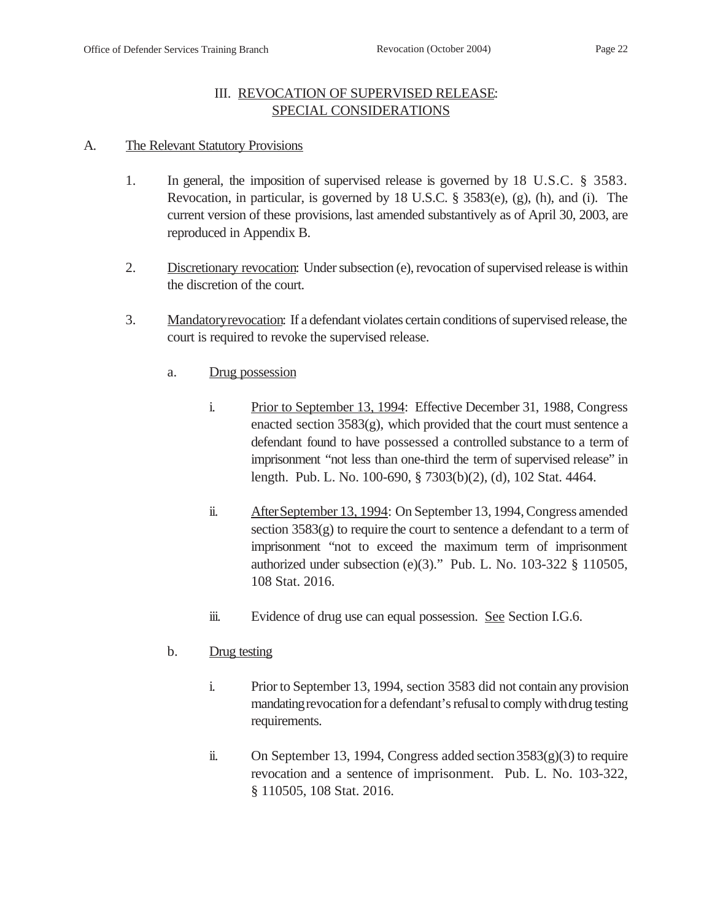## III. REVOCATION OF SUPERVISED RELEASE: SPECIAL CONSIDERATIONS

#### A. The Relevant Statutory Provisions

- 1. In general, the imposition of supervised release is governed by 18 U.S.C. § 3583. Revocation, in particular, is governed by 18 U.S.C. § 3583(e), (g), (h), and (i). The current version of these provisions, last amended substantively as of April 30, 2003, are reproduced in Appendix B.
- 2. Discretionary revocation: Under subsection (e), revocation of supervised release is within the discretion of the court.
- 3. Mandatoryrevocation: If a defendant violates certain conditions of supervised release, the court is required to revoke the supervised release.
	- a. Drug possession
		- i. Prior to September 13, 1994: Effective December 31, 1988, Congress enacted section 3583(g), which provided that the court must sentence a defendant found to have possessed a controlled substance to a term of imprisonment "not less than one-third the term of supervised release" in length. Pub. L. No. 100-690, § 7303(b)(2), (d), 102 Stat. 4464.
		- ii. After September 13, 1994: On September 13, 1994, Congress amended section 3583(g) to require the court to sentence a defendant to a term of imprisonment "not to exceed the maximum term of imprisonment authorized under subsection (e)(3)." Pub. L. No. 103-322 § 110505, 108 Stat. 2016.
		- iii. Evidence of drug use can equal possession. See Section I.G.6.
	- b. Drug testing
		- i. Prior to September 13, 1994, section 3583 did not contain any provision mandating revocation for a defendant's refusal to comply with drug testing requirements.
		- ii. On September 13, 1994, Congress added section  $3583(g)(3)$  to require revocation and a sentence of imprisonment. Pub. L. No. 103-322, § 110505, 108 Stat. 2016.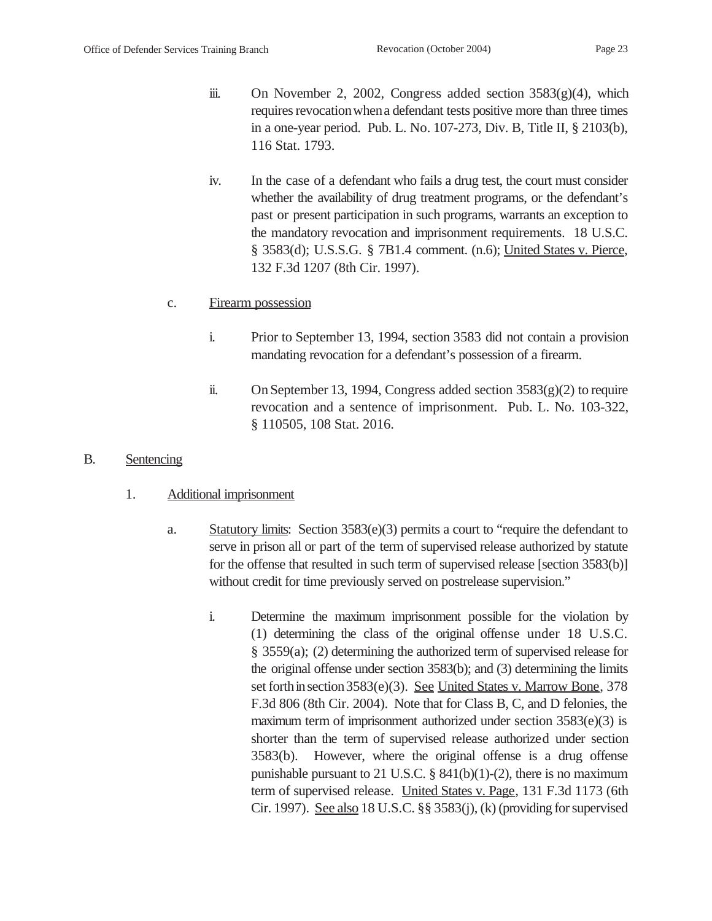- iii. On November 2, 2002, Congress added section 3583(g)(4), which requires revocation when a defendant tests positive more than three times in a one-year period. Pub. L. No. 107-273, Div. B, Title II, § 2103(b), 116 Stat. 1793.
- iv. In the case of a defendant who fails a drug test, the court must consider whether the availability of drug treatment programs, or the defendant's past or present participation in such programs, warrants an exception to the mandatory revocation and imprisonment requirements. 18 U.S.C. § 3583(d); U.S.S.G. § 7B1.4 comment. (n.6); United States v. Pierce, 132 F.3d 1207 (8th Cir. 1997).

#### c. Firearm possession

- i. Prior to September 13, 1994, section 3583 did not contain a provision mandating revocation for a defendant's possession of a firearm.
- ii. On September 13, 1994, Congress added section  $3583(g)(2)$  to require revocation and a sentence of imprisonment. Pub. L. No. 103-322, § 110505, 108 Stat. 2016.

#### B. Sentencing

- 1. Additional imprisonment
	- a. Statutory limits: Section  $3583(e)(3)$  permits a court to "require the defendant to serve in prison all or part of the term of supervised release authorized by statute for the offense that resulted in such term of supervised release [section 3583(b)] without credit for time previously served on postrelease supervision."
		- i. Determine the maximum imprisonment possible for the violation by (1) determining the class of the original offense under 18 U.S.C. § 3559(a); (2) determining the authorized term of supervised release for the original offense under section 3583(b); and (3) determining the limits set forth in section 3583(e)(3). See United States v. Marrow Bone, 378 F.3d 806 (8th Cir. 2004). Note that for Class B, C, and D felonies, the maximum term of imprisonment authorized under section  $3583(e)(3)$  is shorter than the term of supervised release authorized under section 3583(b). However, where the original offense is a drug offense punishable pursuant to 21 U.S.C.  $\S$  841(b)(1)-(2), there is no maximum term of supervised release. United States v. Page, 131 F.3d 1173 (6th Cir. 1997). See also 18 U.S.C. §§ 3583(j), (k) (providing for supervised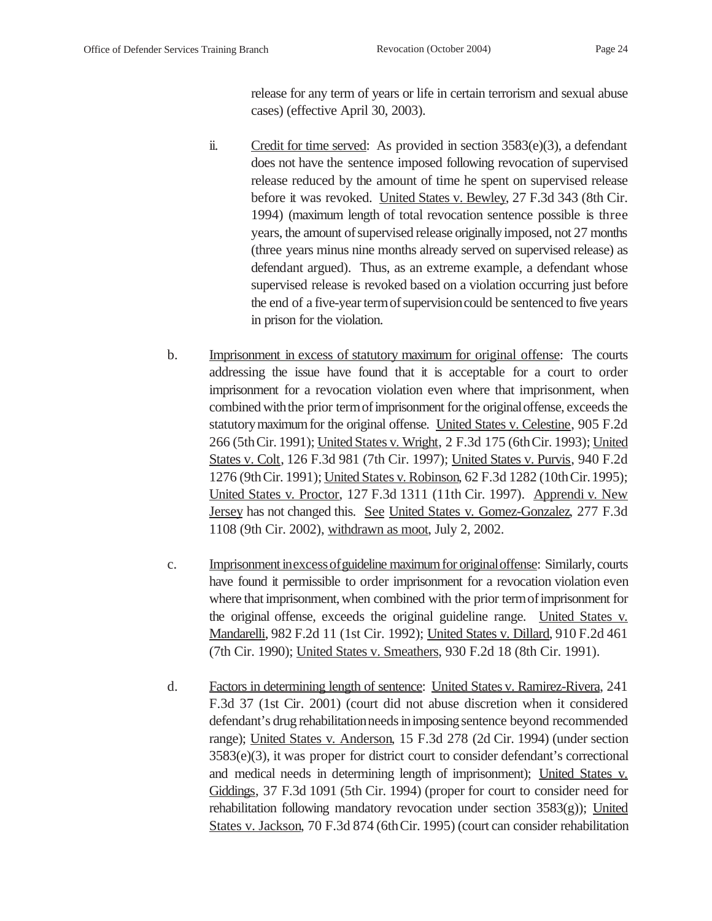release for any term of years or life in certain terrorism and sexual abuse cases) (effective April 30, 2003).

- ii. Credit for time served: As provided in section 3583(e)(3), a defendant does not have the sentence imposed following revocation of supervised release reduced by the amount of time he spent on supervised release before it was revoked. United States v. Bewley, 27 F.3d 343 (8th Cir. 1994) (maximum length of total revocation sentence possible is three years, the amount of supervised release originally imposed, not 27 months (three years minus nine months already served on supervised release) as defendant argued). Thus, as an extreme example, a defendant whose supervised release is revoked based on a violation occurring just before the end of a five-year termofsupervisioncould be sentenced to five years in prison for the violation.
- b. Imprisonment in excess of statutory maximum for original offense: The courts addressing the issue have found that it is acceptable for a court to order imprisonment for a revocation violation even where that imprisonment, when combined with the prior term of imprisonment for the original offense, exceeds the statutory maximum for the original offense. United States v. Celestine, 905 F.2d 266 (5thCir. 1991); United States v. Wright, 2 F.3d 175 (6thCir. 1993); United States v. Colt, 126 F.3d 981 (7th Cir. 1997); United States v. Purvis, 940 F.2d 1276 (9thCir. 1991); United States v. Robinson, 62 F.3d 1282 (10thCir.1995); United States v. Proctor, 127 F.3d 1311 (11th Cir. 1997). Apprendi v. New Jersey has not changed this. See United States v. Gomez-Gonzalez, 277 F.3d 1108 (9th Cir. 2002), withdrawn as moot, July 2, 2002.
- c. Imprisonment inexcessofguideline maximumfor originaloffense: Similarly, courts have found it permissible to order imprisonment for a revocation violation even where that imprisonment, when combined with the prior term of imprisonment for the original offense, exceeds the original guideline range. United States v. Mandarelli, 982 F.2d 11 (1st Cir. 1992); United States v. Dillard, 910 F.2d 461 (7th Cir. 1990); United States v. Smeathers, 930 F.2d 18 (8th Cir. 1991).
- d. Factors in determining length of sentence: United States v. Ramirez-Rivera, 241 F.3d 37 (1st Cir. 2001) (court did not abuse discretion when it considered defendant's drug rehabilitation needs in imposing sentence beyond recommended range); United States v. Anderson, 15 F.3d 278 (2d Cir. 1994) (under section 3583(e)(3), it was proper for district court to consider defendant's correctional and medical needs in determining length of imprisonment); United States v. Giddings, 37 F.3d 1091 (5th Cir. 1994) (proper for court to consider need for rehabilitation following mandatory revocation under section 3583(g)); United States v. Jackson, 70 F.3d 874 (6thCir. 1995) (court can consider rehabilitation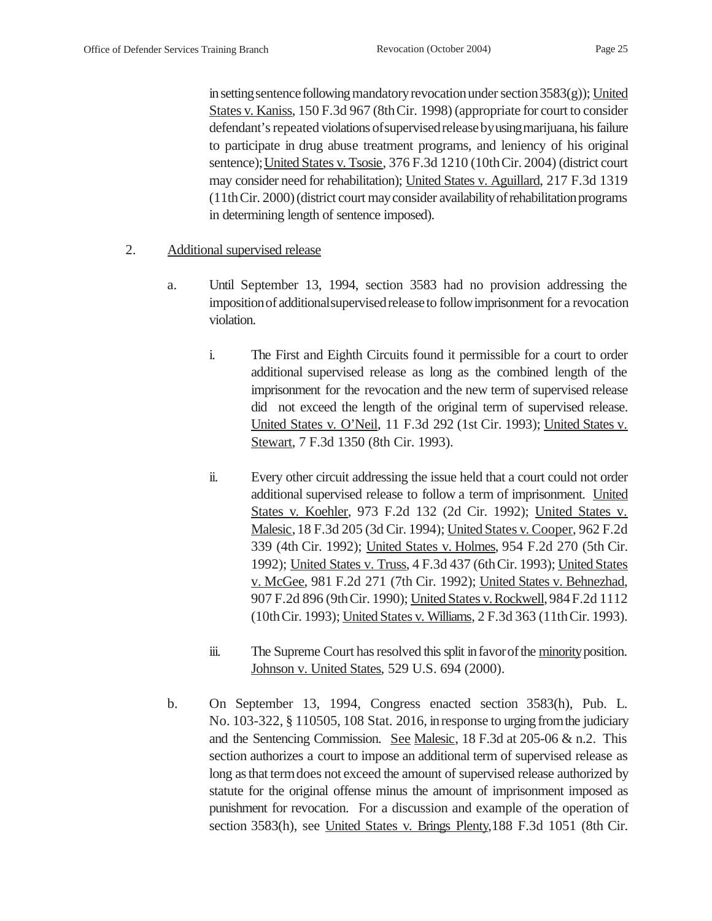in setting sentence following mandatory revocation under section  $3583(g)$ ); United States v. Kaniss, 150 F.3d 967 (8thCir. 1998) (appropriate for court to consider defendant's repeated violations ofsupervisedreleasebyusingmarijuana, his failure to participate in drug abuse treatment programs, and leniency of his original sentence); United States v. Tsosie, 376 F.3d 1210 (10th Cir. 2004) (district court may consider need for rehabilitation); United States v. Aguillard, 217 F.3d 1319 (11thCir. 2000)(district court mayconsider availabilityofrehabilitationprograms in determining length of sentence imposed).

- 2. Additional supervised release
	- a. Until September 13, 1994, section 3583 had no provision addressing the impositionofadditionalsupervisedreleaseto followimprisonment for a revocation violation.
		- i. The First and Eighth Circuits found it permissible for a court to order additional supervised release as long as the combined length of the imprisonment for the revocation and the new term of supervised release did not exceed the length of the original term of supervised release. United States v. O'Neil, 11 F.3d 292 (1st Cir. 1993); United States v. Stewart, 7 F.3d 1350 (8th Cir. 1993).
		- ii. Every other circuit addressing the issue held that a court could not order additional supervised release to follow a term of imprisonment. United States v. Koehler, 973 F.2d 132 (2d Cir. 1992); United States v. Malesic, 18 F.3d 205 (3d Cir. 1994); United States v. Cooper, 962 F.2d 339 (4th Cir. 1992); United States v. Holmes, 954 F.2d 270 (5th Cir. 1992); United States v. Truss, 4 F.3d 437 (6thCir. 1993); United States v. McGee, 981 F.2d 271 (7th Cir. 1992); United States v. Behnezhad, 907 F.2d 896 (9thCir. 1990); United States v. Rockwell,984F.2d 1112 (10thCir. 1993); United States v. Williams, 2 F.3d 363 (11thCir. 1993).
		- iii. The Supreme Court has resolved this split in favor of the minority position. Johnson v. United States, 529 U.S. 694 (2000).
	- b. On September 13, 1994, Congress enacted section 3583(h), Pub. L. No. 103-322, § 110505, 108 Stat. 2016, inresponse to urging fromthe judiciary and the Sentencing Commission. See Malesic, 18 F.3d at 205-06 & n.2. This section authorizes a court to impose an additional term of supervised release as long as that termdoes not exceed the amount of supervised release authorized by statute for the original offense minus the amount of imprisonment imposed as punishment for revocation. For a discussion and example of the operation of section 3583(h), see United States v. Brings Plenty,188 F.3d 1051 (8th Cir.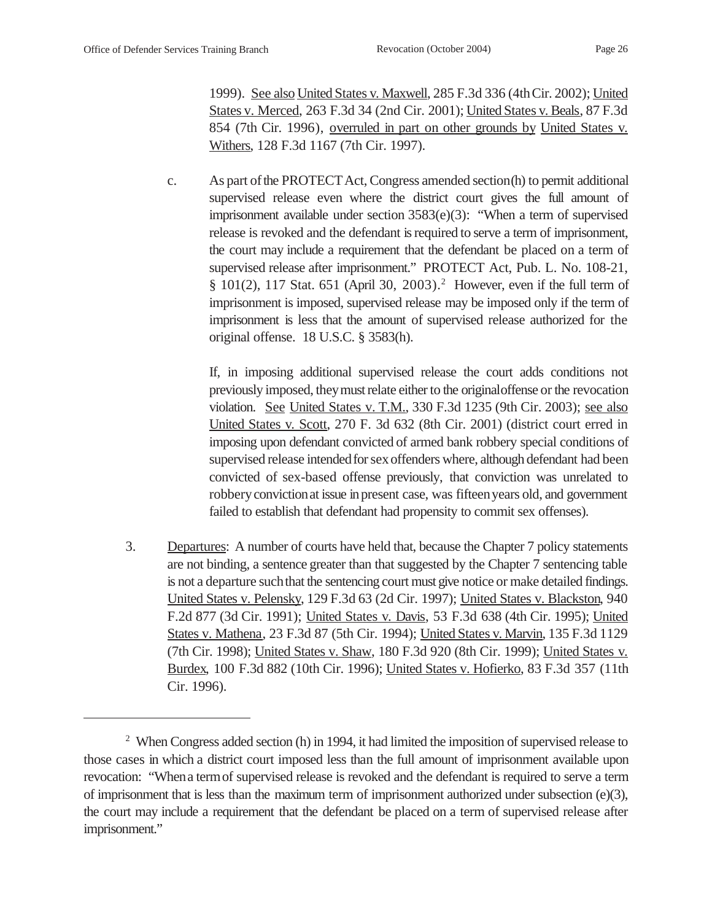1999). See also United States v. Maxwell, 285 F.3d 336 (4thCir. 2002); United States v. Merced, 263 F.3d 34 (2nd Cir. 2001); United States v. Beals, 87 F.3d 854 (7th Cir. 1996), overruled in part on other grounds by United States v. Withers, 128 F.3d 1167 (7th Cir. 1997).

c. As part ofthe PROTECTAct, Congress amended section(h) to permit additional supervised release even where the district court gives the full amount of imprisonment available under section 3583(e)(3): "When a term of supervised release is revoked and the defendant is required to serve a term of imprisonment, the court may include a requirement that the defendant be placed on a term of supervised release after imprisonment." PROTECT Act, Pub. L. No. 108-21, § 101(2), 117 Stat. 651 (April 30, 2003).<sup>2</sup> However, even if the full term of imprisonment is imposed, supervised release may be imposed only if the term of imprisonment is less that the amount of supervised release authorized for the original offense. 18 U.S.C. § 3583(h).

If, in imposing additional supervised release the court adds conditions not previously imposed, theymust relate either to the originaloffense or the revocation violation. See United States v. T.M., 330 F.3d 1235 (9th Cir. 2003); see also United States v. Scott, 270 F. 3d 632 (8th Cir. 2001) (district court erred in imposing upon defendant convicted of armed bank robbery special conditions of supervised release intended for sex offenders where, although defendant had been convicted of sex-based offense previously, that conviction was unrelated to robberyconvictionat issue inpresent case, was fifteenyears old, and government failed to establish that defendant had propensity to commit sex offenses).

3. Departures: A number of courts have held that, because the Chapter 7 policy statements are not binding, a sentence greater than that suggested by the Chapter 7 sentencing table is not a departure such that the sentencing court must give notice or make detailed findings. United States v. Pelensky, 129 F.3d 63 (2d Cir. 1997); United States v. Blackston, 940 F.2d 877 (3d Cir. 1991); United States v. Davis, 53 F.3d 638 (4th Cir. 1995); United States v. Mathena, 23 F.3d 87 (5th Cir. 1994); United States v. Marvin, 135 F.3d 1129 (7th Cir. 1998); United States v. Shaw, 180 F.3d 920 (8th Cir. 1999); United States v. Burdex, 100 F.3d 882 (10th Cir. 1996); United States v. Hofierko, 83 F.3d 357 (11th Cir. 1996).

<sup>&</sup>lt;sup>2</sup> When Congress added section (h) in 1994, it had limited the imposition of supervised release to those cases in which a district court imposed less than the full amount of imprisonment available upon revocation: "Whena termof supervised release is revoked and the defendant is required to serve a term of imprisonment that is less than the maximum term of imprisonment authorized under subsection (e)(3), the court may include a requirement that the defendant be placed on a term of supervised release after imprisonment."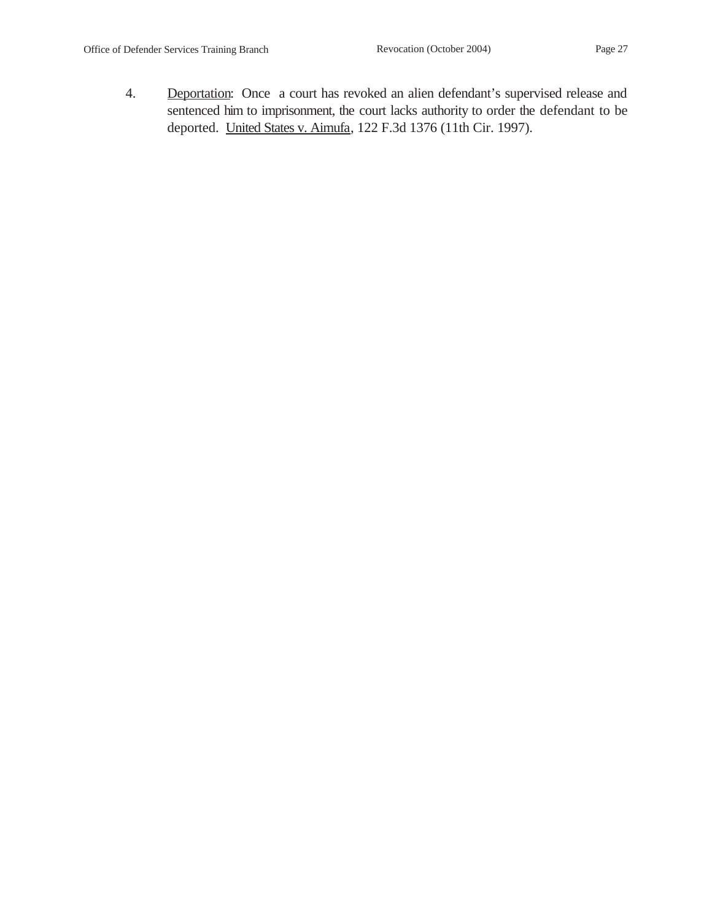- 
- 4. Deportation: Once a court has revoked an alien defendant's supervised release and sentenced him to imprisonment, the court lacks authority to order the defendant to be deported. United States v. Aimufa, 122 F.3d 1376 (11th Cir. 1997).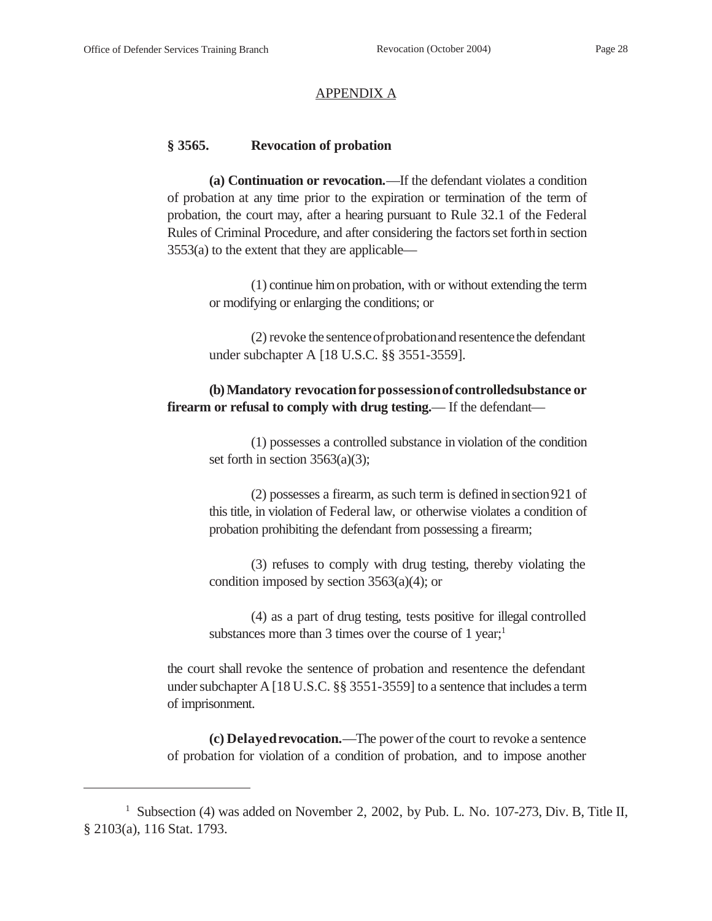#### APPENDIX A

#### **§ 3565. Revocation of probation**

**(a) Continuation or revocation.**—If the defendant violates a condition of probation at any time prior to the expiration or termination of the term of probation, the court may, after a hearing pursuant to Rule 32.1 of the Federal Rules of Criminal Procedure, and after considering the factors set forthin section 3553(a) to the extent that they are applicable—

(1) continue himon probation, with or without extending the term or modifying or enlarging the conditions; or

(2) revoke the sentence of probation and resentence the defendant under subchapter A [18 U.S.C. §§ 3551-3559].

## **(b) Mandatory revocationforpossessionofcontrolledsubstance or firearm or refusal to comply with drug testing.—** If the defendant—

(1) possesses a controlled substance in violation of the condition set forth in section 3563(a)(3);

(2) possesses a firearm, as such term is defined insection921 of this title, in violation of Federal law, or otherwise violates a condition of probation prohibiting the defendant from possessing a firearm;

(3) refuses to comply with drug testing, thereby violating the condition imposed by section 3563(a)(4); or

(4) as a part of drug testing, tests positive for illegal controlled substances more than 3 times over the course of 1 year;<sup>1</sup>

the court shall revoke the sentence of probation and resentence the defendant under subchapter A [18 U.S.C. §§ 3551-3559] to a sentence that includes a term of imprisonment.

**(c) Delayed revocation.**—The power of the court to revoke a sentence of probation for violation of a condition of probation, and to impose another

<sup>&</sup>lt;sup>1</sup> Subsection (4) was added on November 2, 2002, by Pub. L. No. 107-273, Div. B, Title II, § 2103(a), 116 Stat. 1793.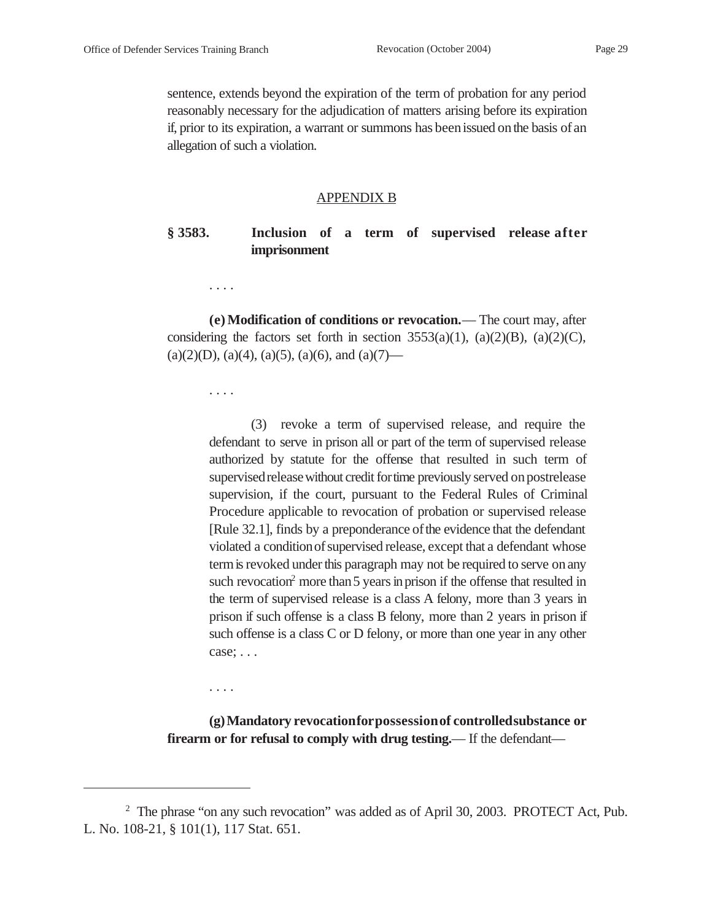sentence, extends beyond the expiration of the term of probation for any period reasonably necessary for the adjudication of matters arising before its expiration if, prior to its expiration, a warrant or summons has been issued on the basis of an allegation of such a violation.

#### APPENDIX B

## **§ 3583. Inclusion of a term of supervised release after imprisonment**

. . . .

**(e) Modification of conditions or revocation.**— The court may, after considering the factors set forth in section  $3553(a)(1)$ ,  $(a)(2)(B)$ ,  $(a)(2)(C)$ ,  $(a)(2)(D), (a)(4), (a)(5), (a)(6), and (a)(7)$ —

. . . .

. . . .

(3) revoke a term of supervised release, and require the defendant to serve in prison all or part of the term of supervised release authorized by statute for the offense that resulted in such term of supervised release without credit for time previously served on postrelease supervision, if the court, pursuant to the Federal Rules of Criminal Procedure applicable to revocation of probation or supervised release [Rule 32.1], finds by a preponderance of the evidence that the defendant violated a conditionofsupervised release, except that a defendant whose termis revoked under this paragraph may not be required to serve on any such revocation<sup>2</sup> more than 5 years in prison if the offense that resulted in the term of supervised release is a class A felony, more than 3 years in prison if such offense is a class B felony, more than 2 years in prison if such offense is a class C or D felony, or more than one year in any other case; . . .

**(g)Mandatory revocationforpossessionof controlledsubstance or firearm or for refusal to comply with drug testing.**— If the defendant—

<sup>&</sup>lt;sup>2</sup> The phrase "on any such revocation" was added as of April 30, 2003. PROTECT Act, Pub. L. No. 108-21, § 101(1), 117 Stat. 651.